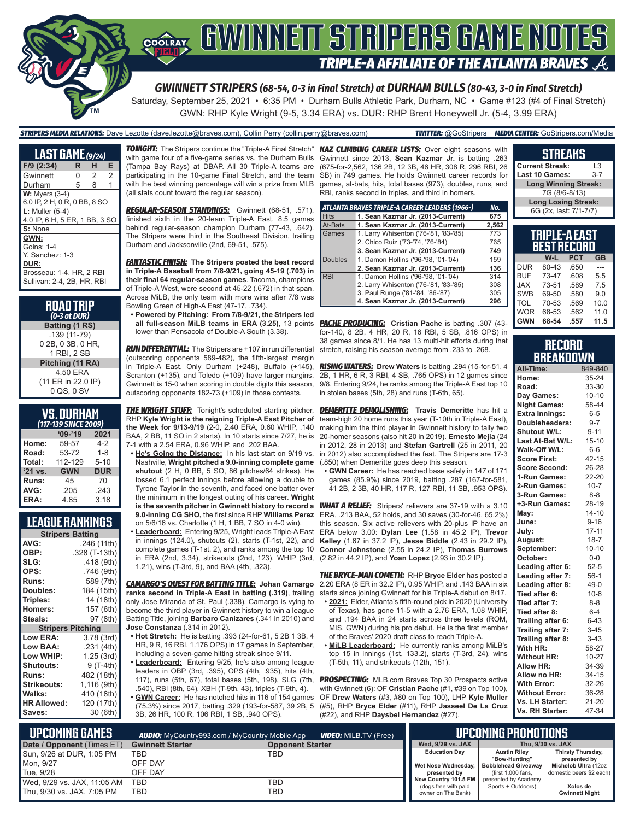

*GWINNETT STRIPERS (68-54, 0-3 in Final Stretch) at DURHAM BULLS (80-43, 3-0 in Final Stretch)*

Saturday, September 25, 2021 • 6:35 PM • Durham Bulls Athletic Park, Durham, NC • Game #123 (#4 of Final Stretch) GWN: RHP Kyle Wright (9-5, 3.34 ERA) vs. DUR: RHP Brent Honeywell Jr. (5-4, 3.99 ERA)

#### *STRIPERS MEDIA RELATIONS:* Dave Lezotte (dave.lezotte@braves.com), Collin Perry (collin.perry@braves.com) *TWITTER:* @GoStripers *MEDIA CENTER:* GoStripers.com/Media

| <b>LAST GAME</b> (9/24)       |   |   |   |
|-------------------------------|---|---|---|
| F/9 (2:34)                    | R | н | Е |
| Gwinnett                      | 0 | 2 | 2 |
| Durham                        | 5 | 8 | 1 |
| $W:$ Myers $(3-4)$            |   |   |   |
| 6.0 IP, 2 H, 0 R, 0 BB, 8 SO  |   |   |   |
| $L:$ Muller $(5-4)$           |   |   |   |
| 4.0 IP, 6 H, 5 ER, 1 BB, 3 SO |   |   |   |
| S: None                       |   |   |   |
| GWN:                          |   |   |   |
| <b>Goins: 1-4</b>             |   |   |   |
| Y. Sanchez: 1-3               |   |   |   |
| DUR:                          |   |   |   |
| Brosseau: 1-4, HR, 2 RBI      |   |   |   |
| Sullivan: 2-4, 2B, HR, RBI    |   |   |   |

| <b>ROAD TRIP</b><br>$(0-3$ at DUR) |
|------------------------------------|
| Batting (1 RS)                     |
| .139 (11-79)                       |
| 0 2B, 0 3B, 0 HR,                  |
| 1 RBI, 2 SB                        |
| Pitching (11 RA)                   |
| 4.50 ERA                           |
| (11 ER in 22.0 IP)                 |
| 0 QS, 0 SV                         |

| <b>VS.DURHAM</b>    |  |  |  |
|---------------------|--|--|--|
| Acro can accept and |  |  |  |

| (117-139 SINCE 2009) |            |  |  |  |  |
|----------------------|------------|--|--|--|--|
| $09 - 19$            | 2021       |  |  |  |  |
| 59-57                | 4-2        |  |  |  |  |
| 53-72                | $1 - 8$    |  |  |  |  |
| 112-129              | $5 - 10$   |  |  |  |  |
| <b>GWN</b>           | <b>DUR</b> |  |  |  |  |
| 45                   | 70         |  |  |  |  |
| .205                 | .243       |  |  |  |  |
| 4.85                 | 3.18       |  |  |  |  |
|                      |            |  |  |  |  |

#### **LEAGUE RANKINGS**

| <b>Stripers Batting</b>  |               |  |  |  |  |
|--------------------------|---------------|--|--|--|--|
| AVG:                     | .246 (11th)   |  |  |  |  |
| OBP:                     | .328 (T-13th) |  |  |  |  |
| SLG:                     | .418 (9th)    |  |  |  |  |
| OPS:                     | .746 (9th)    |  |  |  |  |
| <b>Runs:</b>             | 589 (7th)     |  |  |  |  |
| Doubles:                 | 184 (15th)    |  |  |  |  |
| Triples:                 | 14 (18th)     |  |  |  |  |
| <b>Homers:</b>           | 157 (6th)     |  |  |  |  |
| Steals:                  | 97 (8th)      |  |  |  |  |
| <b>Stripers Pitching</b> |               |  |  |  |  |
| <b>Low ERA:</b>          | 3.78(3rd)     |  |  |  |  |
| Low BAA:                 | .231 (4th)    |  |  |  |  |
| Low WHIP:                | 1.25(3rd)     |  |  |  |  |
| <b>Shutouts:</b>         | 9 (T-4th)     |  |  |  |  |
| <b>Runs:</b>             | 482 (18th)    |  |  |  |  |
| Strikeouts:              | 1,116 (9th)   |  |  |  |  |
| Walks:                   | 410 (18th)    |  |  |  |  |
| <b>HR Allowed:</b>       | 120 (17th)    |  |  |  |  |
| Saves:                   | 30 (6th)      |  |  |  |  |
|                          |               |  |  |  |  |

*TONIGHT:* The Stripers continue the "Triple-A Final Stretch" with game four of a five-game series vs. the Durham Bulls (Tampa Bay Rays) at DBAP. All 30 Triple-A teams are participating in the 10-game Final Stretch, and the team with the best winning percentage will win a prize from MLB (all stats count toward the regular season).

*REGULAR-SEASON STANDINGS:* Gwinnett (68-51, .571), finished sixth in the 20-team Triple-A East, 8.5 games behind regular-season champion Durham (77-43, .642). The Stripers were third in the Southeast Division, trailing Durham and Jacksonville (2nd, 69-51, .575).

*FANTASTIC FINISH:* **The Stripers posted the best record in Triple-A Baseball from 7/8-9/21, going 45-19 (.703) in their final 64 regular-season games**. Tacoma, champions of Triple-A West, were second at 45-22 (.672) in that span. Across MiLB, the only team with more wins after 7/8 was Bowling Green of High-A East (47-17, .734).

**• Powered by Pitching: From 7/8-9/21, the Stripers led all full-season MiLB teams in ERA (3.25)**, 13 points lower than Pensacola of Double-A South (3.38).

*RUN DIFFERENTIAL:* The Stripers are +107 in run differential (outscoring opponents 589-482), the fifth-largest margin in Triple-A East. Only Durham (+248), Buffalo (+145), Scranton (+135), and Toledo (+109) have larger margins. Gwinnett is 15-0 when scoring in double digits this season, outscoring opponents 182-73 (+109) in those contests.

**THE WRIGHT STUFF:** Tonight's scheduled starting pitcher, RHP **Kyle Wright is the reigning Triple-A East Pitcher of the Week for 9/13-9/19** (2-0, 2.40 ERA, 0.60 WHIP, .140 BAA, 2 BB, 11 SO in 2 starts). In 10 starts since 7/27, he is 7-1 with a 2.54 ERA, 0.96 WHIP, and .202 BAA.

**• He's Going the Distance:** In his last start on 9/19 vs. Nashville, **Wright pitched a 9.0-inning complete game shutout** (2 H, 0 BB, 5 SO, 86 pitches/64 strikes). He tossed 6.1 perfect innings before allowing a double to Tyrone Taylor in the seventh, and faced one batter over the minimum in the longest outing of his career. **Wright is the seventh pitcher in Gwinnett history to record a 9.0-inning CG SHO,** the first since RHP **Williams Perez**  on 5/6/16 vs. Charlotte (1 H, 1 BB, 7 SO in 4-0 win).

**• Leaderboard:** Entering 9/25, Wright leads Triple-A East in innings (124.0), shutouts (2), starts (T-1st, 22), and complete games (T-1st, 2), and ranks among the top 10 in ERA (2nd, 3.34), strikeouts (2nd, 123), WHIP (3rd, (2.82 in 44.2 IP), and **Yoan Lopez** (2.93 in 30.2 IP). 1.21), wins (T-3rd, 9), and BAA (4th, .323).

*CAMARGO'S QUEST FOR BATTING TITLE:* **Johan Camargo ranks second in Triple-A East in batting (.319)**, trailing only Jose Miranda of St. Paul (.338). Camargo is vying to become the third player in Gwinnett history to win a league Batting Title, joining **Barbaro Canizares** (.341 in 2010) and **Jose Constanza** (.314 in 2012).

- **• Hot Stretch:** He is batting .393 (24-for-61, 5 2B 1 3B, 4 HR, 9 R, 16 RBI, 1.176 OPS) in 17 games in September, including a seven-game hitting streak since 9/11.
- **• Leaderboard:** Entering 9/25, he's also among league leaders in OBP (3rd, .395), OPS (4th, .935), hits (4th, 117), runs (5th, 67), total bases (5th, 198), SLG (7th, .540), RBI (8th, 64), XBH (T-9th, 43), triples (T-9th, 4). **• GWN Career:** He has notched hits in 116 of 154 games
- (75.3%) since 2017, batting .329 (193-for-587, 39 2B, 5 3B, 26 HR, 100 R, 106 RBI, 1 SB, .940 OPS).

**KAZ CLIMBING CAREER LISTS:** Over eight seasons with Gwinnett since 2013, **Sean Kazmar Jr.** is batting .263 (675-for-2,562, 136 2B, 12 3B, 46 HR, 308 R, 296 RBI, 26 SB) in 749 games. He holds Gwinnett career records for games, at-bats, hits, total bases (973), doubles, runs, and RBI, ranks second in triples, and third in homers.

|                | ATLANTA BRAVES TRIPLE-A CAREER LEADERS (1966-) | No.   |
|----------------|------------------------------------------------|-------|
| <b>Hits</b>    | 1. Sean Kazmar Jr. (2013-Current)              | 675   |
| At-Bats        | 1. Sean Kazmar Jr. (2013-Current)              | 2,562 |
| Games          | 1. Larry Whisenton ('76-'81, '83-'85)          | 773   |
|                | 2. Chico Ruiz ('73-'74, '76-'84)               | 765   |
|                | 3. Sean Kazmar Jr. (2013-Current)              | 749   |
| <b>Doubles</b> | 1. Damon Hollins ('96-'98, '01-'04)            | 159   |
|                | 2. Sean Kazmar Jr. (2013-Current)              | 136   |
| <b>RBI</b>     | 1. Damon Hollins ('96-'98, '01-'04)            | 314   |
|                | 2. Larry Whisenton ('76-'81, '83-'85)          | 308   |
|                | 3. Paul Runge ('81-'84, '86-'87)               | 305   |
|                | 4. Sean Kazmar Jr. (2013-Current)              | 296   |

*PACHE PRODUCING:* **Cristian Pache** is batting .307 (43 for-140, 8 2B, 4 HR, 20 R, 16 RBI, 5 SB, .816 OPS) in 38 games since 8/1. He has 13 multi-hit efforts during that stretch, raising his season average from .233 to .268.

*RISING WATERS:* **Drew Waters** is batting .294 (15-for-51, 4 2B, 1 HR, 6 R, 3 RBI, 4 SB, .765 OPS) in 12 games since 9/8. Entering 9/24, he ranks among the Triple-A East top 10 in stolen bases (5th, 28) and runs (T-6th, 65).

*DEMERITTE DEMOLISHING:* **Travis Demeritte** has hit a team-high 20 home runs this year (T-10th in Triple-A East), making him the third player in Gwinnett history to tally two 20-homer seasons (also hit 20 in 2019). **Ernesto Mejia** (24 in 2012, 28 in 2013) and **Stefan Gartrell** (25 in 2011, 20 in 2012) also accomplished the feat. The Stripers are 17-3 (.850) when Demeritte goes deep this season.

**• GWN Career:** He has reached base safely in 147 of 171 games (85.9%) since 2019, batting .287 (167-for-581, 41 2B, 2 3B, 40 HR, 117 R, 127 RBI, 11 SB, .953 OPS).

*WHAT A RELIEF:* Stripers' relievers are 37-19 with a 3.10 ERA, .213 BAA, 52 holds, and 30 saves (30-for-46, 65.2%) this season. Six active relievers with 20-plus IP have an ERA below 3.00: **Dylan Lee** (1.58 in 45.2 IP), **Trevor Kelley** (1.67 in 37.2 IP), **Jesse Biddle** (2.43 in 29.2 IP), **Connor Johnstone** (2.55 in 24.2 IP), **Thomas Burrows**

*THE BRYCE-MAN COMETH:* RHP **Bryce Elder** has posted a 2.20 ERA (8 ER in 32.2 IP), 0.95 WHIP, and .143 BAA in six starts since joining Gwinnett for his Triple-A debut on 8/17.

- **• 2021:** Elder, Atlanta's fifth-round pick in 2020 (University of Texas), has gone 11-5 with a 2.76 ERA, 1.08 WHIP, and .194 BAA in 24 starts across three levels (ROM, MIS, GWN) during his pro debut. He is the first member of the Braves' 2020 draft class to reach Triple-A.
- **• MiLB Leaderboard:** He currently ranks among MiLB's top 15 in innings  $(1st, 133.2)$ , starts  $(T-3rd, 24)$ , wins (T-5th, 11), and strikeouts (12th, 151).

**PROSPECTING:** MLB.com Braves Top 30 Prospects active with Gwinnett (6): OF **Cristian Pache** (#1, #39 on Top 100), OF **Drew Waters** (#3, #80 on Top 100), LHP **Kyle Muller** (#5), RHP **Bryce Elder** (#11), RHP **Jasseel De La Cruz** (#22), and RHP **Daysbel Hernandez** (#27).

#### **TRIPLE-A EAST BEST RECORD W-L PCT GB**  $DUR$  80-43 BUF 73-47 .608 5.5 **Long Winning Streak:** 7G (8/6-8/13) **Long Losing Streak:** 6G (2x, last: 7/1-7/7)

**STREAKS Current Streak:** L3 Last 10 Games:

| <b>GWN</b> | 68-54 | .557 | 11.5 |
|------------|-------|------|------|
| <b>WOR</b> | 68-53 | .562 | 11.0 |
| <b>TOL</b> | 70-53 | .569 | 10.0 |
| <b>SWB</b> | 69-50 | .580 | 9.0  |
| <b>JAX</b> | 73-51 | .589 | 7.5  |
| <b>BUF</b> | 73-47 | .608 | 5.5  |
|            |       |      |      |

#### **RECORD BREAKDOWN**

| All-Time:             | 849-840   |
|-----------------------|-----------|
| Home:                 | 35-24     |
| Road:                 | 33-30     |
| Day Games:            | $10 - 10$ |
| <b>Night Games:</b>   | 58-44     |
| <b>Extra Innings:</b> | $6-5$     |
| Doubleheaders:        | $9 - 7$   |
| <b>Shutout W/L:</b>   | $9 - 11$  |
| Last At-Bat W/L:      | $15 - 10$ |
| Walk-Off W/L:         | $6-6$     |
| <b>Score First:</b>   | $42 - 15$ |
| <b>Score Second:</b>  | 26-28     |
| 1-Run Games:          | 22-20     |
| 2-Run Games:          | $10 - 7$  |
| 3-Run Games:          | $8 - 8$   |
| +3-Run Games:         | 28-19     |
| May:                  | $14 - 10$ |
| June:                 | $9 - 16$  |
| July:                 | $17 - 11$ |
| August:               | $18 - 7$  |
| September:            | $10 - 10$ |
| October:              | $0-0$     |
| Leading after 6:      | $52 - 5$  |
| Leading after 7:      | $56-1$    |
| Leading after 8:      | $49-0$    |
| Tied after 6:         | $10-6$    |
| Tied after 7:         | $8 - 8$   |
| Tied after 8:         | $6 - 4$   |
| Trailing after 6:     | $6 - 43$  |
| Trailing after 7:     | $3 - 45$  |
| Trailing after 8:     | $3 - 43$  |
| With HR:              | 58-27     |
| <b>Without HR:</b>    | $10 - 27$ |
| <b>Allow HR:</b>      | 34-39     |
| Allow no HR:          | 34-15     |
| <b>With Error:</b>    | 32-26     |
| <b>Without Error:</b> | 36-28     |
| Vs. LH Starter:       | 21-20     |
| Vs. RH Starter:       | 47-34     |

| NUPCOMING GAMES<br><b>WDEO:</b> MiLB.TV (Free)<br><b>AUDIO:</b> MyCountry993.com / MyCountry Mobile App |                         |                         |                                              | UPCOMING PROMOTIONS                        |                                   |
|---------------------------------------------------------------------------------------------------------|-------------------------|-------------------------|----------------------------------------------|--------------------------------------------|-----------------------------------|
| Date / Opponent (Times ET)                                                                              | <b>Gwinnett Starter</b> | <b>Opponent Starter</b> | Wed. 9/29 vs. JAX                            |                                            | Thu. 9/30 vs. JAX                 |
| Sun, 9/26 at DUR, 1:05 PM                                                                               | TBD                     | TBD                     | <b>Education Day</b>                         | <b>Austin Rilev</b><br>"Bow-Hunting"       | Thirsty Thursday,<br>presented by |
| Mon, 9/27                                                                                               | OFF DAY                 |                         |                                              | Wet Nose Wednesday,   Bobblehead Giveaway  | Michelob Ultra (12oz              |
| Tue. 9/28                                                                                               | OFF DAY                 |                         | presented by                                 | (first 1,000 fans,                         | domestic beers \$2 each)          |
| Wed, 9/29 vs. JAX, 11:05 AM                                                                             | <b>TBD</b>              | TBD                     | New Country 101.5 FM<br>(dogs free with paid | presented by Academy<br>Sports + Outdoors) | Xolos de                          |
| Thu, 9/30 vs. JAX, 7:05 PM                                                                              | TBD                     | TBD                     | owner on The Bank)                           |                                            | <b>Gwinnett Night</b>             |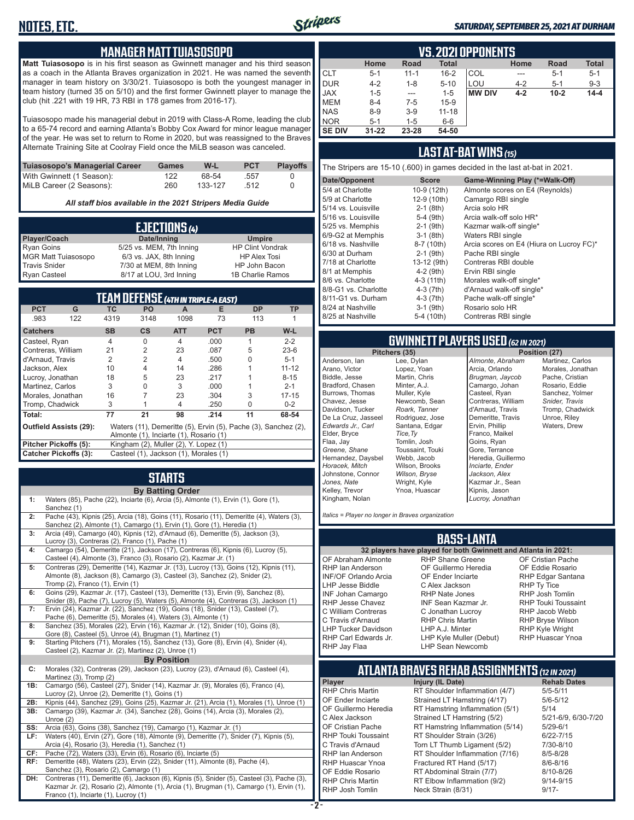

#### *SATURDAY, SEPTEMBER 25, 2021 AT DURHAM*

#### **MANAGER MATT TUIASOSOPO**

**Matt Tuiasosopo** is in his first season as Gwinnett manager and his third season as a coach in the Atlanta Braves organization in 2021. He was named the seventh manager in team history on 3/30/21. Tuiasosopo is both the youngest manager in team history (turned 35 on 5/10) and the first former Gwinnett player to manage the club (hit .221 with 19 HR, 73 RBI in 178 games from 2016-17).

Tuiasosopo made his managerial debut in 2019 with Class-A Rome, leading the club to a 65-74 record and earning Atlanta's Bobby Cox Award for minor league manager of the year. He was set to return to Rome in 2020, but was reassigned to the Braves Alternate Training Site at Coolray Field once the MiLB season was canceled.

| Tuiasosopo's Managerial Career | Games | W-L     | <b>PCT</b> | <b>Plavoffs</b> |
|--------------------------------|-------|---------|------------|-----------------|
| With Gwinnett (1 Season):      | 122   | 68-54   | .557       |                 |
| MiLB Career (2 Seasons):       | 260   | 133-127 | 512        |                 |

*All staff bios available in the 2021 Stripers Media Guide*

| EJECTIONS (4)              |                          |                         |  |  |  |
|----------------------------|--------------------------|-------------------------|--|--|--|
| Player/Coach               | Date/Inning              | <b>Umpire</b>           |  |  |  |
| <b>Ryan Goins</b>          | 5/25 vs. MEM, 7th Inning | <b>HP Clint Vondrak</b> |  |  |  |
| <b>MGR Matt Tuiasosopo</b> | 6/3 vs. JAX, 8th Inning  | <b>HP Alex Tosi</b>     |  |  |  |
| <b>Travis Snider</b>       | 7/30 at MEM, 8th Inning  | HP John Bacon           |  |  |  |
| <b>Ryan Casteel</b>        | 8/17 at LOU, 3rd Inning  | 1B Charlie Ramos        |  |  |  |

| TEAM DEFENSE (4TH IN TRIPLE-A EAST)                            |                                                                                                 |                |                |            |            |              |           |
|----------------------------------------------------------------|-------------------------------------------------------------------------------------------------|----------------|----------------|------------|------------|--------------|-----------|
| <b>PCT</b>                                                     | G                                                                                               | <b>ТС</b>      | <b>PO</b>      | A          | Е          | <b>DP</b>    | <b>TP</b> |
| .983                                                           | 122                                                                                             | 4319           | 3148           | 1098       | 73         | 113          | 1         |
| <b>Catchers</b>                                                |                                                                                                 | <b>SB</b>      | $\mathsf{cs}$  | <b>ATT</b> | <b>PCT</b> | <b>PB</b>    | W-L       |
| Casteel, Ryan                                                  |                                                                                                 | 4              | 0              | 4          | .000       |              | $2 - 2$   |
| Contreras, William                                             |                                                                                                 | 21             | $\overline{2}$ | 23         | .087       | 5            | $23-6$    |
| d'Arnaud, Travis                                               |                                                                                                 | $\mathfrak{p}$ | $\overline{2}$ | 4          | .500       | U            | $5 - 1$   |
| Jackson, Alex                                                  |                                                                                                 | 10             | 4              | 14         | .286       |              | $11 - 12$ |
| Lucroy, Jonathan                                               |                                                                                                 | 18             | 5              | 23         | .217       |              | $8 - 15$  |
| Martinez, Carlos                                               |                                                                                                 | 3              | 0              | 3          | .000       |              | $2 - 1$   |
| Morales, Jonathan                                              |                                                                                                 | 16             | 7              | 23         | .304       | 3            | $17 - 15$ |
| Tromp, Chadwick                                                |                                                                                                 | 3              | 1              | 4          | .250       | <sup>n</sup> | $0 - 2$   |
| Total:                                                         |                                                                                                 | 77             | 21             | 98         | .214       | 11           | 68-54     |
|                                                                | <b>Outfield Assists (29):</b><br>Waters (11), Demeritte (5), Ervin (5), Pache (3), Sanchez (2), |                |                |            |            |              |           |
|                                                                | Almonte (1), Inciarte (1), Rosario (1)                                                          |                |                |            |            |              |           |
|                                                                | Pitcher Pickoffs (5):<br>Kingham (2), Muller (2), Y. Lopez (1)                                  |                |                |            |            |              |           |
| Catcher Pickoffs (3):<br>Casteel (1), Jackson (1), Morales (1) |                                                                                                 |                |                |            |            |              |           |

## **STARTS**

|     | <b>By Batting Order</b>                                                                                                                                                                                    |
|-----|------------------------------------------------------------------------------------------------------------------------------------------------------------------------------------------------------------|
| 1:  | Waters (85), Pache (22), Inciarte (6), Arcia (5), Almonte (1), Ervin (1), Gore (1),<br>Sanchez (1)                                                                                                         |
| 2:  | Pache (43), Kipnis (25), Arcia (18), Goins (11), Rosario (11), Demeritte (4), Waters (3),<br>Sanchez (2), Almonte (1), Camargo (1), Ervin (1), Gore (1), Heredia (1)                                       |
| 3:  | Arcia (49), Camargo (40), Kipnis (12), d'Arnaud (6), Demeritte (5), Jackson (3),<br>Lucroy (3), Contreras (2), Franco (1), Pache (1)                                                                       |
| 4:  | Camargo (54), Demeritte (21), Jackson (17), Contreras (6), Kipnis (6), Lucroy (5),<br>Casteel (4), Almonte (3), Franco (3), Rosario (2), Kazmar Jr. (1)                                                    |
| 5:  | Contreras (29), Demeritte (14), Kazmar Jr. (13), Lucroy (13), Goins (12), Kipnis (11),<br>Almonte (8), Jackson (8), Camargo (3), Casteel (3), Sanchez (2), Snider (2),<br>Tromp (2), Franco (1), Ervin (1) |
| 6:  | Goins (29), Kazmar Jr. (17), Casteel (13), Demeritte (13), Ervin (9), Sanchez (8),<br>Snider (8), Pache (7), Lucroy (5), Waters (5), Almonte (4), Contreras (3), Jackson (1)                               |
| 7:  | Ervin (24), Kazmar Jr. (22), Sanchez (19), Goins (18), Snider (13), Casteel (7),<br>Pache (6), Demeritte (5), Morales (4), Waters (3), Almonte (1)                                                         |
| 8:  | Sanchez (35), Morales (22), Ervin (16), Kazmar Jr. (12), Snider (10), Goins (8),<br>Gore (8), Casteel (5), Unroe (4), Brugman (1), Martinez (1)                                                            |
| 9:  | Starting Pitchers (71), Morales (15), Sanchez (13), Gore (8), Ervin (4), Snider (4),<br>Casteel (2), Kazmar Jr. (2), Martinez (2), Unroe (1)                                                               |
|     | <b>By Position</b>                                                                                                                                                                                         |
| C:  | Morales (32), Contreras (29), Jackson (23), Lucroy (23), d'Arnaud (6), Casteel (4),<br>Martinez (3), Tromp (2)                                                                                             |
| 1B: | Camargo (56), Casteel (27), Snider (14), Kazmar Jr. (9), Morales (6), Franco (4),<br>Lucroy (2), Unroe (2), Demeritte (1), Goins (1)                                                                       |
| 2B: | Kipnis (44), Sanchez (29), Goins (25), Kazmar Jr. (21), Arcia (1), Morales (1), Unroe (1)                                                                                                                  |
| 3B: | Camargo (39), Kazmar Jr. (34), Sanchez (28), Goins (14), Arcia (3), Morales (2),<br>Unroe $(2)$                                                                                                            |
| SS: | Arcia (63), Goins (38), Sanchez (19), Camargo (1), Kazmar Jr. (1)                                                                                                                                          |
| LF: | Waters (40), Ervin (27), Gore (18), Almonte (9), Demeritte (7), Snider (7), Kipnis (5),<br>Arcia (4), Rosario (3), Heredia (1), Sanchez (1)                                                                |
| CF: | Pache (72), Waters (33), Ervin (6), Rosario (6), Inciarte (5)                                                                                                                                              |
| RF: | Demeritte (48), Waters (23), Ervin (22), Snider (11), Almonte (8), Pache (4),<br>Sanchez (3), Rosario (2), Camargo (1)                                                                                     |
| DH: | Contreras (11), Demeritte (6), Jackson (6), Kipnis (5), Snider (5), Casteel (3), Pache (3),<br>Kazmar Jr. (2), Rosario (2), Almonte (1), Arcia (1), Brugman (1), Camargo (1), Ervin (1),                   |

Franco (1), Inciarte (1), Lucroy (1)

|               | <b>VS. 2021 OPPONENTS</b>                                           |          |           |               |         |          |          |  |  |  |  |  |  |
|---------------|---------------------------------------------------------------------|----------|-----------|---------------|---------|----------|----------|--|--|--|--|--|--|
|               | <b>Total</b><br><b>Total</b><br>Home<br><b>Road</b><br>Home<br>Road |          |           |               |         |          |          |  |  |  |  |  |  |
| <b>CLT</b>    | $5 - 1$                                                             | $11 - 1$ | $16 - 2$  | COL           |         | $5 - 1$  | $5 - 1$  |  |  |  |  |  |  |
| <b>DUR</b>    | $4 - 2$                                                             | $1 - 8$  | $5 - 10$  | LOU           | $4 - 2$ | $5 - 1$  | $9 - 3$  |  |  |  |  |  |  |
| <b>JAX</b>    | $1 - 5$                                                             | $- - -$  | $1 - 5$   | <b>MW DIV</b> | $4 - 2$ | $10 - 2$ | $14 - 4$ |  |  |  |  |  |  |
| <b>MEM</b>    | $8 - 4$                                                             | $7-5$    | $15-9$    |               |         |          |          |  |  |  |  |  |  |
| <b>NAS</b>    | $8 - 9$                                                             | $3-9$    | $11 - 18$ |               |         |          |          |  |  |  |  |  |  |
| <b>NOR</b>    | $5 - 1$                                                             | $1 - 5$  | $6-6$     |               |         |          |          |  |  |  |  |  |  |
| <b>SE DIV</b> | $31 - 22$                                                           | 23-28    | 54-50     |               |         |          |          |  |  |  |  |  |  |

### **LAST AT-BAT WINS** *(15)*

The Stripers are 15-10 (.600) in games decided in the last at-bat in 2021.

| Date/Opponent        | <b>Score</b> | Game-Winning Play (*=Walk-Off)           |
|----------------------|--------------|------------------------------------------|
| 5/4 at Charlotte     | 10-9 (12th)  | Almonte scores on E4 (Reynolds)          |
| 5/9 at Charlotte     | 12-9 (10th)  | Camargo RBI single                       |
| 5/14 vs. Louisville  | $2-1$ (8th)  | Arcia solo HR                            |
| 5/16 vs. Louisville  | $5-4$ (9th)  | Arcia walk-off solo HR*                  |
| 5/25 vs. Memphis     | $2-1$ (9th)  | Kazmar walk-off single*                  |
| 6/9-G2 at Memphis    | $3-1$ (8th)  | Waters RBI single                        |
| 6/18 vs. Nashville   | 8-7 (10th)   | Arcia scores on E4 (Hiura on Lucroy FC)* |
| 6/30 at Durham       | $2-1$ (9th)  | Pache RBI single                         |
| 7/18 at Charlotte    | 13-12 (9th)  | Contreras RBI double                     |
| 8/1 at Memphis       | $4-2$ (9th)  | Ervin RBI single                         |
| 8/6 vs. Charlotte    | 4-3 (11th)   | Morales walk-off single*                 |
| 8/8-G1 vs. Charlotte | $4-3(7th)$   | d'Arnaud walk-off single*                |
| 8/11-G1 vs. Durham   | $4-3(7th)$   | Pache walk-off single*                   |
| 8/24 at Nashville    | $3-1$ (9th)  | Rosario solo HR                          |
| 8/25 at Nashville    | 5-4 (10th)   | Contreras RBI single                     |
|                      |              |                                          |

# **GWINNETT PLAYERS USED** *(62 IN 2021)*

Anderson, Ian Arano, Victor Biddle, Jesse Bradford, Chasen Burrows, Thomas Chavez, Jesse Davidson, Tucker De La Cruz, Jasseel *Edwards Jr., Carl* Elder, Bryce Flaa, Jay *Greene, Shane*  Hernandez, Daysbel *Horacek, Mitch* Johnstone, Connor *Jones, Nate* Kelley, Trevor Kingham, Nolan

Lee, Dylan Lopez, Yoan Martin, Chris Minter, A.J. Muller, Kyle Newcomb, Sean *Roark, Tanner* Rodriguez, Jose Santana, Edgar *Tice,Ty* Tomlin, Josh Toussaint, Touki Webb, Jacob Wilson, Brooks *Wilson, Bryse* Wright, Kyle Ynoa, Huascar *Almonte, Abraham* Arcia, Orlando *Brugman, Jaycob* Camargo, Johan Casteel, Ryan Contreras, William d'Arnaud, Travis Demeritte, Travis Ervin, Phillip Franco, Maikel Goins, Ryan Gore, Terrance Heredia, Guillermo *Inciarte, Ender Jackson, Alex* Kazmar Jr., Sean Kipnis, Jason *Lucroy, Jonathan*

**Position (27)** Martinez, Carlos Morales, Jonathan Pache, Cristian Rosario, Eddie Sanchez, Yolmer *Snider, Travis* Tromp, Chadwick Unroe, Riley Waters, Drew

*Italics = Player no longer in Braves organization*

#### **BASS-LANTA**

OF Abraham Almonte RHP Ian Anderson INF/OF Orlando Arcia LHP Jesse Biddle INF Johan Camargo RHP Jesse Chavez C William Contreras C Travis d'Arnaud LHP Tucker Davidson RHP Carl Edwards Jr. RHP Jay Flaa

**32 players have played for both Gwinnett and Atlanta in 2021:** RHP Shane Greene OF Guillermo Heredia OF Ender Inciarte C Alex Jackson RHP Nate Jones INF Sean Kazmar Jr. C Jonathan Lucroy RHP Chris Martin LHP A.J. Minter LHP Kyle Muller (Debut) LHP Sean Newcomb

OF Cristian Pache OF Eddie Rosario RHP Edgar Santana RHP Ty Tice RHP Josh Tomlin RHP Touki Toussaint RHP Jacob Webb RHP Bryse Wilson RHP Kyle Wright RHP Huascar Ynoa

## **ATLANTA BRAVES REHAB ASSIGNMENTS** *(12 IN 2021)*

**Player Injury (IL Date)** RHP Chris Martin RT Shoulder Inflammation (4/7) 5/5-5/11<br>OF Ender Inciarte Strained LT Hamstring (4/17) 5/6-5/12 OF Ender Inciarte Strained LT Hamstring (4/17)<br>OF Guillermo Heredia RT Hamstring Inflammation (5) RT Hamstring Inflammation  $(5/1)$  5/14<br>Strained LT Hamstring  $(5/2)$  5/21-6/9, 6/30-7/20 C Alex Jackson Strained LT Hamstring (5/2) 5/21-6/9<br>CF Cristian Pache RT Hamstring Inflammation (5/14) 5/29-6/1 OF Cristian Pache RT Hamstring Inflammation (5/14) 5/29-6/1<br>RHP Touki Toussaint RT Shoulder Strain (3/26) 6/22-7/15 RT Shoulder Strain (3/26) C Travis d'Arnaud Torn LT Thumb Ligament (5/2) 7/30-8/10 RHP Ian Anderson RT Shoulder Inflammation (7/16) 8/5-8/28<br>RHP Huascar Ynoa Fractured RT Hand (5/17) 8/6-8/16 RHP Huascar Ynoa Fractured RT Hand (5/17) 8/6-8/16<br>OF Eddie Rosario RT Abdominal Strain (7/7) 8/10-8/26 RT Abdominal Strain (7/7) RHP Chris Martin **RT Elbow Inflammation (9/2)** 9/14-9/15<br>RHP Josh Tomlin Neck Strain (8/31) 9/17-Neck Strain (8/31)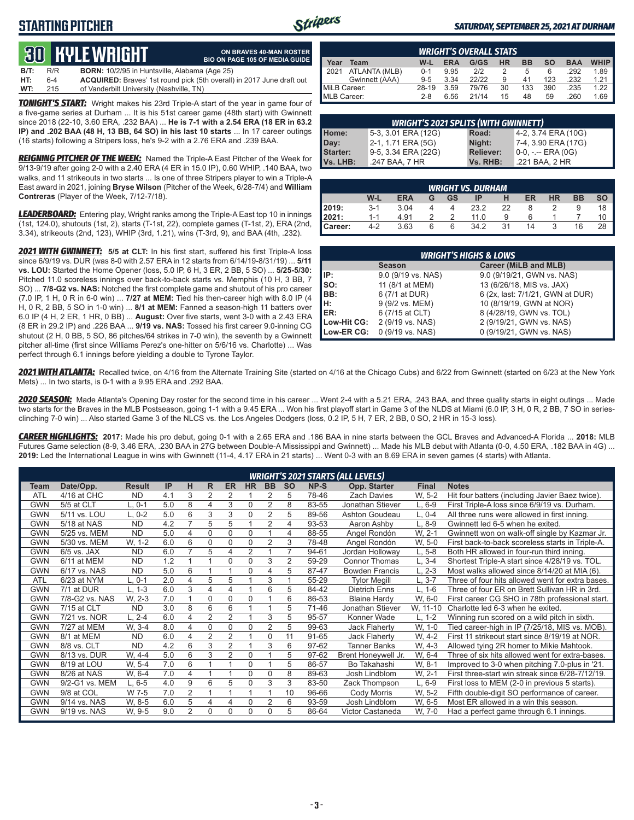## **STARTING PITCHER**



#### *SATURDAY, SEPTEMBER 25, 2021 AT DURHAM*

# **30****KYLE WRIGHT**

| ON BRAVES 40-MAN ROSTER                                        |  |
|----------------------------------------------------------------|--|
| <b>BIO ON PAGE 105 OF MEDIA GUIDE</b>                          |  |
| $\left( \begin{array}{ccc} 1 & 0 \\ 0 & 1 \end{array} \right)$ |  |

| WT:  | 215   | of Vanderbilt University (Nashville, TN)                                     |
|------|-------|------------------------------------------------------------------------------|
| HT:  | $6-4$ | <b>ACQUIRED:</b> Braves' 1st round pick (5th overall) in 2017 June draft out |
| B/T: | R/R   | <b>BORN:</b> 10/2/95 in Huntsville, Alabama (Age 25)                         |

*TONIGHT'S START:* Wright makes his 23rd Triple-A start of the year in game four of a five-game series at Durham ... It is his 51st career game (48th start) with Gwinnett since 2018 (22-10, 3.60 ERA, .232 BAA) ... **He is 7-1 with a 2.54 ERA (18 ER in 63.2 IP) and .202 BAA (48 H, 13 BB, 64 SO) in his last 10 starts** ... In 17 career outings (16 starts) following a Stripers loss, he's 9-2 with a 2.76 ERA and .239 BAA.

*REIGNING PITCHER OF THE WEEK:* Named the Triple-A East Pitcher of the Week for 9/13-9/19 after going 2-0 with a 2.40 ERA (4 ER in 15.0 IP), 0.60 WHIP, .140 BAA, two walks, and 11 strikeouts in two starts ... Is one of three Stripers player to win a Triple-A East award in 2021, joining **Bryse Wilson** (Pitcher of the Week, 6/28-7/4) and **William Contreras** (Player of the Week, 7/12-7/18).

*LEADERBOARD:* Entering play, Wright ranks among the Triple-A East top 10 in innings (1st, 124.0), shutouts (1st, 2), starts (T-1st, 22), complete games (T-1st, 2), ERA (2nd, 3.34), strikeouts (2nd, 123), WHIP (3rd, 1.21), wins (T-3rd, 9), and BAA (4th, .232).

*2021 WITH GWINNETT:* **5/5 at CLT:** In his first start, suffered his first Triple-A loss since 6/9/19 vs. DUR (was 8-0 with 2.57 ERA in 12 starts from 6/14/19-8/31/19) ... **5/11 vs. LOU:** Started the Home Opener (loss, 5.0 IP, 6 H, 3 ER, 2 BB, 5 SO) ... **5/25-5/30:** Pitched 11.0 scoreless innings over back-to-back starts vs. Memphis (10 H, 3 BB, 7 SO) ... **7/8-G2 vs. NAS:** Notched the first complete game and shutout of his pro career (7.0 IP, 1 H, 0 R in 6-0 win) ... **7/27 at MEM:** Tied his then-career high with 8.0 IP (4 H, 0 R, 2 BB, 5 SO in 1-0 win) ... **8/1 at MEM:** Fanned a season-high 11 batters over 6.0 IP (4 H, 2 ER, 1 HR, 0 BB) ... **August:** Over five starts, went 3-0 with a 2.43 ERA (8 ER in 29.2 IP) and .226 BAA ... **9/19 vs. NAS:** Tossed his first career 9.0-inning CG shutout (2 H, 0 BB, 5 SO, 86 pitches/64 strikes in 7-0 win), the seventh by a Gwinnett pitcher all-time (first since Williams Perez's one-hitter on 5/6/16 vs. Charlotte) ... Was perfect through 6.1 innings before yielding a double to Tyrone Taylor.

| <b>WRIGHT'S OVERALL STATS</b> |                                                                                                       |         |      |       |    |     |     |      |      |  |  |  |
|-------------------------------|-------------------------------------------------------------------------------------------------------|---------|------|-------|----|-----|-----|------|------|--|--|--|
| Year                          | <b>WHIP</b><br>G/GS<br><b>HR</b><br><b>BB</b><br><b>SO</b><br>W-L<br><b>ERA</b><br><b>BAA</b><br>Team |         |      |       |    |     |     |      |      |  |  |  |
| 12021<br>ATLANTA (MLB)        |                                                                                                       | $0 - 1$ | 9.95 | 212   |    | 5   | 6   | .292 | 1.89 |  |  |  |
|                               | Gwinnett (AAA)                                                                                        | $9 - 5$ | 3.34 | 22/22 |    | 41  | 123 | .232 | 1.21 |  |  |  |
| MiLB Career:                  |                                                                                                       | 28-19   | 3.59 | 79/76 | 30 | 133 | 390 | .235 | 1 22 |  |  |  |
| MLB Career:                   |                                                                                                       | $2 - 8$ | 6.56 | 21/14 | 15 | 48  | 59  | .260 | 1.69 |  |  |  |

| <b>WRIGHT'S 2021 SPLITS (WITH GWINNETT)</b> |                     |                  |                     |  |  |  |  |  |  |  |  |
|---------------------------------------------|---------------------|------------------|---------------------|--|--|--|--|--|--|--|--|
| Home:                                       | 5-3, 3.01 ERA (12G) | Road:            | 4-2, 3.74 ERA (10G) |  |  |  |  |  |  |  |  |
| Day:                                        | 2-1, 1.71 ERA (5G)  | Night:           | 7-4, 3.90 ERA (17G) |  |  |  |  |  |  |  |  |
| Starter:                                    | 9-5, 3.34 ERA (22G) | <b>Reliever:</b> | $0-0, - -$ ERA (0G) |  |  |  |  |  |  |  |  |
| Vs. LHB:                                    | .247 BAA, 7 HR      | Vs. RHB:         | .221 BAA, 2 HR      |  |  |  |  |  |  |  |  |

|         | <b>WRIGHT VS. DURHAM</b>                                                        |      |   |   |      |    |    |  |    |  |  |  |  |  |
|---------|---------------------------------------------------------------------------------|------|---|---|------|----|----|--|----|--|--|--|--|--|
|         | W-L<br>ER<br><b>HR</b><br><b>ERA</b><br><b>GS</b><br><b>BB</b><br>IP<br>SΟ<br>G |      |   |   |      |    |    |  |    |  |  |  |  |  |
| 2019:   | $3-1$                                                                           | 3.04 |   |   | 23.2 | 22 | 8  |  |    |  |  |  |  |  |
| 2021:   | $1 - 1$                                                                         | 4.91 |   |   | 11.0 | 9  | 6  |  |    |  |  |  |  |  |
| Career: | 4-2                                                                             | 3.63 | 6 | 6 | 34.2 | 31 | 14 |  | 16 |  |  |  |  |  |

|                 | <b>WRIGHT'S HIGHS &amp; LOWS</b> |                                  |  |  |  |  |  |  |  |  |
|-----------------|----------------------------------|----------------------------------|--|--|--|--|--|--|--|--|
|                 | <b>Season</b>                    | Career (MiLB and MLB)            |  |  |  |  |  |  |  |  |
| IIP:            | 9.0 (9/19 vs. NAS)               | 9.0 (9/19/21, GWN vs. NAS)       |  |  |  |  |  |  |  |  |
| $\mathsf{Iso}:$ | 11 (8/1 at MEM)                  | 13 (6/26/18, MIS vs. JAX)        |  |  |  |  |  |  |  |  |
| IBB:            | 6 (7/1 at DUR)                   | 6 (2x, last: 7/1/21, GWN at DUR) |  |  |  |  |  |  |  |  |
| IH:             | 9 (9/2 vs. MEM)                  | 10 (8/19/19, GWN at NOR)         |  |  |  |  |  |  |  |  |
| <b>IER:</b>     | 6 (7/15 at CLT)                  | 8 (4/28/19, GWN vs. TOL)         |  |  |  |  |  |  |  |  |
| Low-Hit CG:     | 2 (9/19 vs. NAS)                 | 2 (9/19/21, GWN vs. NAS)         |  |  |  |  |  |  |  |  |
| Low-ER CG:      | 0 (9/19 vs. NAS)                 | 0 (9/19/21, GWN vs. NAS)         |  |  |  |  |  |  |  |  |

*2021 WITH ATLANTA:* Recalled twice, on 4/16 from the Alternate Training Site (started on 4/16 at the Chicago Cubs) and 6/22 from Gwinnett (started on 6/23 at the New York Mets) ... In two starts, is 0-1 with a 9.95 ERA and .292 BAA.

*2020 SEASON:* Made Atlanta's Opening Day roster for the second time in his career ... Went 2-4 with a 5.21 ERA, .243 BAA, and three quality starts in eight outings ... Made two starts for the Braves in the MLB Postseason, going 1-1 with a 9.45 ERA ... Won his first playoff start in Game 3 of the NLDS at Miami (6.0 IP, 3 H, 0 R, 2 BB, 7 SO in seriesclinching 7-0 win) ... Also started Game 3 of the NLCS vs. the Los Angeles Dodgers (loss, 0.2 IP, 5 H, 7 ER, 2 BB, 0 SO, 2 HR in 15-3 loss).

*CAREER HIGHLIGHTS:* **2017:** Made his pro debut, going 0-1 with a 2.65 ERA and .186 BAA in nine starts between the GCL Braves and Advanced-A Florida ... **2018:** MLB Futures Game selection (8-9, 3.46 ERA, .230 BAA in 27G between Double-A Mississippi and Gwinnett) ... Made his MLB debut with Atlanta (0-0, 4.50 ERA, .182 BAA in 4G) ... **2019:** Led the International League in wins with Gwinnett (11-4, 4.17 ERA in 21 starts) ... Went 0-3 with an 8.69 ERA in seven games (4 starts) with Atlanta.

|            |                |               |     |                |                |                |                |                |                |       | <b>WRIGHT'S 2021 STARTS (ALL LEVELS)</b> |              |                                                  |
|------------|----------------|---------------|-----|----------------|----------------|----------------|----------------|----------------|----------------|-------|------------------------------------------|--------------|--------------------------------------------------|
| Team       | Date/Opp.      | <b>Result</b> | IP  | н              | R              | <b>ER</b>      | <b>HR</b>      | <b>BB</b>      | <b>SO</b>      | NP-S  | Opp. Starter                             | <b>Final</b> | <b>Notes</b>                                     |
| <b>ATL</b> | 4/16 at CHC    | <b>ND</b>     | 4.1 | 3              | 2              | 2              |                | 2              | 5              | 78-46 | <b>Zach Davies</b>                       | W. 5-2       | Hit four batters (including Javier Baez twice).  |
| <b>GWN</b> | 5/5 at CLT     | L. 0-1        | 5.0 | 8              | 4              | 3              | 0              | $\overline{2}$ | 8              | 83-55 | Jonathan Stiever                         | $L, 6-9$     | First Triple-A loss since 6/9/19 vs. Durham.     |
| <b>GWN</b> | 5/11 vs. LOU   | $L, 0-2$      | 5.0 | 6              | 3              | 3              | $\Omega$       | $\overline{2}$ | 5              | 89-56 | Ashton Goudeau                           | $L, 0-4$     | All three runs were allowed in first inning.     |
| <b>GWN</b> | 5/18 at NAS    | <b>ND</b>     | 4.2 | $\overline{7}$ | 5              | 5              |                | 2              | 4              | 93-53 | Aaron Ashby                              | L, 8-9       | Gwinnett led 6-5 when he exited.                 |
| GWN        | 5/25 vs. MEM   | <b>ND</b>     | 5.0 | 4              | 0              | $\Omega$       | 0              |                | 4              | 88-55 | Angel Rondón                             | W. 2-1       | Gwinnett won on walk-off single by Kazmar Jr.    |
| GWN        | 5/30 vs. MEM   | W. 1-2        | 6.0 | 6              | 0              | $\Omega$       | $\Omega$       | $\overline{2}$ | 3              | 78-48 | Angel Rondón                             | W, 5-0       | First back-to-back scoreless starts in Triple-A. |
| <b>GWN</b> | $6/5$ vs. JAX  | <b>ND</b>     | 6.0 | $\overline{7}$ | 5              | 4              | $\overline{2}$ |                | $\overline{7}$ | 94-61 | Jordan Holloway                          | $L, 5-8$     | Both HR allowed in four-run third inning.        |
| GWN        | 6/11 at MEM    | <b>ND</b>     | 1.2 |                |                | $\Omega$       | $\Omega$       | 3              | $\overline{2}$ | 59-29 | <b>Connor Thomas</b>                     | $L, 3-4$     | Shortest Triple-A start since 4/28/19 vs. TOL.   |
| <b>GWN</b> | 6/17 vs. NAS   | <b>ND</b>     | 5.0 | 6              |                |                | 0              | 4              | 5              | 87-47 | <b>Bowden Francis</b>                    | $L, 2-3$     | Most walks allowed since 8/14/20 at MIA (6).     |
| ATL        | 6/23 at NYM    | L. 0-1        | 2.0 | 4              | 5              | 5              |                | 3              |                | 55-29 | <b>Tylor Megill</b>                      | $L, 3-7$     | Three of four hits allowed went for extra bases. |
| <b>GWN</b> | 7/1 at DUR     | $L, 1-3$      | 6.0 | 3              | 4              | 4              |                | 6              | 5              | 84-42 | <b>Dietrich Enns</b>                     | $L, 1-6$     | Three of four ER on Brett Sullivan HR in 3rd.    |
| <b>GWN</b> | 7/8-G2 vs. NAS | W. 2-3        | 7.0 | 1              | 0              | $\Omega$       | $\mathbf{0}$   |                | 6              | 86-53 | <b>Blaine Hardy</b>                      | W, 6-0       | First career CG SHO in 78th professional start.  |
| <b>GWN</b> | 7/15 at CLT    | <b>ND</b>     | 3.0 | 8              | 6              | 6              |                |                | 5              | 71-46 | Jonathan Stiever                         | W, 11-10     | Charlotte led 6-3 when he exited.                |
| GWN        | 7/21 vs. NOR   | $L, 2-4$      | 6.0 | 4              | 2              | 2              |                | 3              | 5              | 95-57 | Konner Wade                              | $L, 1-2$     | Winning run scored on a wild pitch in sixth.     |
| <b>GWN</b> | 7/27 at MEM    | W. 3-4        | 8.0 | 4              | 0              | $\Omega$       | $\mathbf{0}$   | $\overline{2}$ | 5              | 99-63 | <b>Jack Flaherty</b>                     | W, 1-0       | Tied career-high in IP (7/25/18, MIS vs. MOB).   |
| <b>GWN</b> | 8/1 at MEM     | <b>ND</b>     | 6.0 | 4              | $\overline{2}$ | $\overline{2}$ |                | $\Omega$       | 11             | 91-65 | Jack Flaherty                            | W. 4-2       | First 11 strikeout start since 8/19/19 at NOR.   |
| <b>GWN</b> | 8/8 vs. CLT    | <b>ND</b>     | 4.2 | 6              | 3              | 2              |                | 3              | 6              | 97-62 | Tanner Banks                             | W. 4-3       | Allowed tying 2R homer to Mikie Mahtook.         |
| GWN        | 8/13 vs. DUR   | W. 4-4        | 5.0 | 6              | 3              | 2              | 0              |                | 5              | 97-62 | Brent Honeywell Jr.                      | W. 6-4       | Three of six hits allowed went for extra-bases.  |
| GWN        | 8/19 at LOU    | W. 5-4        | 7.0 | 6              |                |                | $\mathbf{0}$   |                | 5              | 86-57 | Bo Takahashi                             | W. 8-1       | Improved to 3-0 when pitching 7.0-plus in '21.   |
| <b>GWN</b> | 8/26 at NAS    | W. 6-4        | 7.0 | 4              |                |                | $\mathbf{0}$   | $\mathbf 0$    | 8              | 89-63 | Josh Lindblom                            | W. 2-1       | First three-start win streak since 6/28-7/12/19. |
| GWN        | 9/2-G1 vs. MEM | $L, 6-5$      | 4.0 | 9              | 6              | 5              | $\Omega$       | 3              | 3              | 83-50 | Zack Thompson                            | $L, 6-9$     | First loss to MEM (2-0 in previous 5 starts).    |
| GWN        | 9/8 at COL     | W 7-5         | 7.0 | $\overline{2}$ |                |                |                |                | 10             | 96-66 | Cody Morris                              | W. 5-2       | Fifth double-digit SO performance of career.     |
| GWN        | 9/14 vs. NAS   | W, 8-5        | 6.0 | 5              | 4              | 4              | $\Omega$       | 2              | 6              | 93-59 | Josh Lindblom                            | W, 6-5       | Most ER allowed in a win this season.            |
| <b>GWN</b> | 9/19 vs. NAS   | W, 9-5        | 9.0 | 2              | 0              | $\Omega$       | $\Omega$       | 0              | 5              | 86-64 | Victor Castaneda                         | W, 7-0       | Had a perfect game through 6.1 innings.          |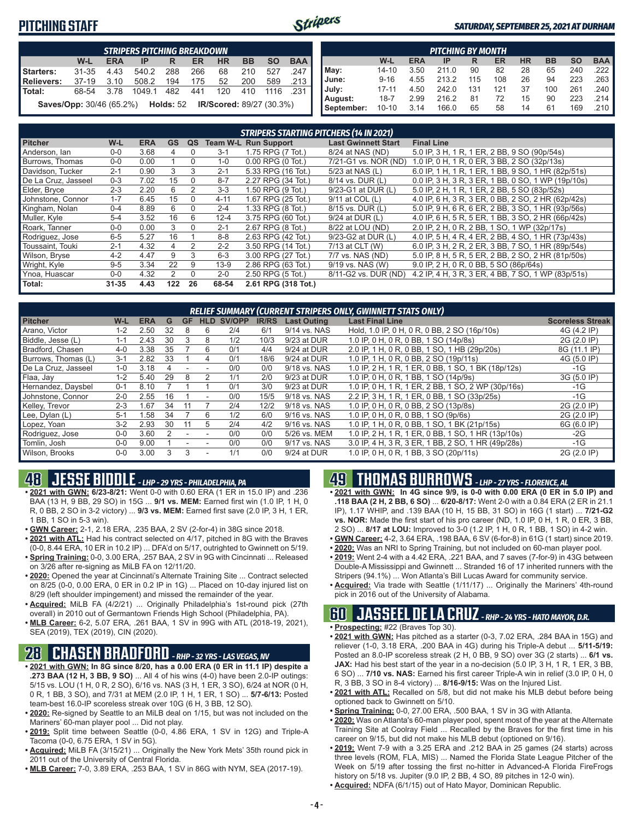### **PITCHING STAFF**



#### *SATURDAY, SEPTEMBER 25, 2021 AT DURHAM*

|            | <b>STRIPERS PITCHING BREAKDOWN</b>                                                      |      |                                                                                  |     |     |        |       |      |                       |  |  |  |
|------------|-----------------------------------------------------------------------------------------|------|----------------------------------------------------------------------------------|-----|-----|--------|-------|------|-----------------------|--|--|--|
|            | <b>BAA</b><br><b>BB</b><br>W-L<br><b>SO</b><br><b>HR</b><br><b>ERA</b><br>ER<br>IP<br>R |      |                                                                                  |     |     |        |       |      |                       |  |  |  |
| Starters:  | $31 - 35$                                                                               | 4.43 | 540.2                                                                            | 288 | 266 | 68     | 210   | 527  | $.247$ $\blacksquare$ |  |  |  |
| Relievers: | 37-19                                                                                   | 3.10 | 508.2                                                                            | 194 |     | 175 52 | 200   | 589  | …213 <b>I</b>         |  |  |  |
| l Total:   | 68-54                                                                                   | 3.78 | 1049.1                                                                           | 482 | 441 | 120    | - 410 | 1116 | .231                  |  |  |  |
|            |                                                                                         |      | <b>Saves/Opp:</b> 30/46 (65.2%) <b>Holds:</b> 52 <b>IR/Scored:</b> 89/27 (30.3%) |     |     |        |       |      |                       |  |  |  |

| <b>PITCHING BY MONTH</b>                                                                |           |      |       |     |     |    |     |     |                       |  |  |  |
|-----------------------------------------------------------------------------------------|-----------|------|-------|-----|-----|----|-----|-----|-----------------------|--|--|--|
| <b>BAA</b><br><b>HR</b><br><b>BB</b><br><b>SO</b><br>W-L<br><b>ERA</b><br>ER<br>IP<br>R |           |      |       |     |     |    |     |     |                       |  |  |  |
| May:                                                                                    | $14 - 10$ | 3.50 | 211.0 | 90  | 82  | 28 | 65  | 240 | $.222$ $\blacksquare$ |  |  |  |
| June:                                                                                   | $9 - 16$  | 4.55 | 213.2 | 115 | 108 | 26 | 94  | 223 | $.263$ $\blacksquare$ |  |  |  |
| July:                                                                                   | $17 - 11$ | 4.50 | 242.0 | 131 | 121 | 37 | 100 | 261 | .240                  |  |  |  |
| August:                                                                                 | $18 - 7$  | 2.99 | 216.2 | 81  | 72  | 15 | 90  | 223 | .214 I                |  |  |  |
| September:                                                                              | $10 - 10$ | 3.14 | 166.0 | 65  | 58  | 14 | 61  | 169 | .210 ∎                |  |  |  |

|                     | <b>STRIPERS STARTING PITCHERS (14 IN 2021)</b> |            |           |          |          |                             |                            |                                                    |  |  |  |  |
|---------------------|------------------------------------------------|------------|-----------|----------|----------|-----------------------------|----------------------------|----------------------------------------------------|--|--|--|--|
| <b>Pitcher</b>      | W-L                                            | <b>ERA</b> | <b>GS</b> | QS       |          | <b>Team W-L Run Support</b> | <b>Last Gwinnett Start</b> | <b>Final Line</b>                                  |  |  |  |  |
| Anderson, Ian       | $0 - 0$                                        | 3.68       |           | $\Omega$ | $3 - 1$  | 1.75 RPG (7 Tot.)           | 8/24 at NAS (ND)           | 5.0 IP, 3 H, 1 R, 1 ER, 2 BB, 9 SO (90p/54s)       |  |  |  |  |
| Burrows. Thomas     | $0 - 0$                                        | 0.00       |           | $\Omega$ | $1 - 0$  | $0.00$ RPG $(0$ Tot.)       | 7/21-G1 vs. NOR (ND)       | 1.0 IP, 0 H, 1 R, 0 ER, 3 BB, 2 SO (32p/13s)       |  |  |  |  |
| Davidson, Tucker    | $2 - 1$                                        | 0.90       | 3         | 3        | $2 - 1$  | 5.33 RPG (16 Tot.)          | 5/23 at NAS (L)            | 6.0 IP, 1 H, 1 R, 1 ER, 1 BB, 9 SO, 1 HR (82p/51s) |  |  |  |  |
| De La Cruz, Jasseel | $0 - 3$                                        | 7.02       | 15        | $\Omega$ | $8 - 7$  | 2.27 RPG (34 Tot.)          | 8/14 vs. DUR (L)           | 0.0 IP, 3 H, 3 R, 3 ER, 1 BB, 0 SO, 1 WP (19p/10s) |  |  |  |  |
| Elder, Bryce        | $2 - 3$                                        | 2.20       | 6         | 2        | $3 - 3$  | 1.50 RPG (9 Tot.)           | 9/23-G1 at DUR (L)         | 5.0 IP, 2 H, 1 R, 1 ER, 2 BB, 5 SO (83p/52s)       |  |  |  |  |
| Johnstone, Connor   | $1 - 7$                                        | 6.45       | 15        | 0        | $4 - 11$ | 1.67 RPG (25 Tot.)          | 9/11 at COL (L)            | 4.0 IP, 6 H, 3 R, 3 ER, 0 BB, 2 SO, 2 HR (62p/42s) |  |  |  |  |
| Kingham, Nolan      | $0 - 4$                                        | 8.89       | 6         | $\Omega$ | $2 - 4$  | 1.33 RPG (8 Tot.)           | 8/15 vs. DUR (L)           | 5.0 IP, 9 H, 6 R, 6 ER, 2 BB, 3 SO, 1 HR (93p/56s) |  |  |  |  |
| Muller, Kyle        | $5 - 4$                                        | 3.52       | 16        | 6        | $12 - 4$ | 3.75 RPG (60 Tot.)          | $9/24$ at DUR $(L)$        | 4.0 IP, 6 H, 5 R, 5 ER, 1 BB, 3 SO, 2 HR (66p/42s) |  |  |  |  |
| Roark. Tanner       | $0 - 0$                                        | 0.00       | 3         | $\Omega$ | $2 - 1$  | 2.67 RPG (8 Tot.)           | 8/22 at LOU (ND)           | 2.0 IP, 2 H, 0 R, 2 BB, 1 SO, 1 WP (32p/17s)       |  |  |  |  |
| Rodriguez, Jose     | $6-5$                                          | 5.27       | 16        |          | $8 - 8$  | 2.63 RPG (42 Tot.)          | 9/23-G2 at DUR (L)         | 4.0 IP, 5 H, 4 R, 4 ER, 2 BB, 4 SO, 1 HR (73p/43s) |  |  |  |  |
| Toussaint. Touki    | $2 - 1$                                        | 4.32       | 4         | 2        | $2 - 2$  | 3.50 RPG (14 Tot.)          | 7/13 at CLT (W)            | 6.0 IP, 3 H, 2 R, 2 ER, 3 BB, 7 SO, 1 HR (89p/54s) |  |  |  |  |
| Wilson, Bryse       | $4 - 2$                                        | 4.47       | 9         | 3        | $6 - 3$  | 3.00 RPG (27 Tot.)          | 7/7 vs. NAS (ND)           | 5.0 IP, 8 H, 5 R, 5 ER, 2 BB, 2 SO, 2 HR (81p/50s) |  |  |  |  |
| Wright, Kyle        | $9 - 5$                                        | 3.34       | 22        | 9        | $13-9$   | 2.86 RPG (63 Tot.)          | 9/19 vs. NAS (W)           | 9.0 IP, 2 H, 0 R, 0 BB, 5 SO (86p/64s)             |  |  |  |  |
| Ynoa, Huascar       | $0 - 0$                                        | 4.32       | 2         | $\Omega$ | $2 - 0$  | 2.50 RPG (5 Tot.)           | 8/11-G2 vs. DUR (ND)       | 4.2 IP, 4 H, 3 R, 3 ER, 4 BB, 7 SO, 1 WP (83p/51s) |  |  |  |  |
| Total:              | $31 - 35$                                      | 4.43       | 122       | 26       | 68-54    | 2.61 RPG (318 Tot.)         |                            |                                                    |  |  |  |  |

| <b>RELIEF SUMMARY (CURRENT STRIPERS ONLY, GWINNETT STATS ONLY)</b> |         |            |    |           |                          |        |              |                    |                                                    |                         |  |  |
|--------------------------------------------------------------------|---------|------------|----|-----------|--------------------------|--------|--------------|--------------------|----------------------------------------------------|-------------------------|--|--|
| <b>Pitcher</b>                                                     | W-L     | <b>ERA</b> | G  | <b>GF</b> | <b>HLD</b>               | SV/OPP | <b>IR/RS</b> | <b>Last Outing</b> | <b>Last Final Line</b>                             | <b>Scoreless Streak</b> |  |  |
| Arano. Victor                                                      | $1 - 2$ | 2.50       | 32 | 8         | 6                        | 2/4    | 6/1          | 9/14 vs. NAS       | Hold, 1.0 IP, 0 H, 0 R, 0 BB, 2 SO (16p/10s)       | 4G (4.2 IP)             |  |  |
| Biddle, Jesse (L)                                                  | $1 - 1$ | 2.43       | 30 | 3         | 8                        | 1/2    | 10/3         | 9/23 at DUR        | 1.0 IP, 0 H, 0 R, 0 BB, 1 SO (14p/8s)              | 2G (2.0 IP)             |  |  |
| Bradford, Chasen                                                   | $4 - 0$ | 3.38       | 35 |           | 6                        | 0/1    | 4/4          | 9/24 at DUR        | 2.0 IP, 1 H, 0 R, 0 BB, 1 SO, 1 HB (29p/20s)       | 8G (11.1 IP)            |  |  |
| Burrows, Thomas (L)                                                | $3 - 1$ | 2.82       | 33 |           | 4                        | 0/1    | 18/6         | 9/24 at DUR        | 1.0 IP, 1 H, 0 R, 0 BB, 2 SO (19p/11s)             | 4G (5.0 IP)             |  |  |
| De La Cruz. Jasseel                                                | $1 - 0$ | 3.18       | 4  |           |                          | 0/0    | 0/0          | 9/18 vs. NAS       | 1.0 IP, 2 H, 1 R, 1 ER, 0 BB, 1 SO, 1 BK (18p/12s) | $-1G$                   |  |  |
| Flaa, Jay                                                          | $1 - 2$ | 5.40       | 29 | 8         |                          | 1/1    | 2/0          | 9/23 at DUR        | 1.0 IP, 0 H, 0 R, 1 BB, 1 SO (14p/9s)              | 3G (5.0 IP)             |  |  |
| Hernandez, Daysbel                                                 | $0 - 1$ | 8.10       |    |           |                          | 0/1    | 3/0          | 9/23 at DUR        | 1.0 IP, 0 H, 1 R, 1 ER, 2 BB, 1 SO, 2 WP (30p/16s) | $-1G$                   |  |  |
| Johnstone, Connor                                                  | $2 - 0$ | 2.55       | 16 |           | $\overline{\phantom{a}}$ | 0/0    | 15/5         | 9/18 vs. NAS       | 2.2 IP, 3 H, 1 R, 1 ER, 0 BB, 1 SO (33p/25s)       | $-1G$                   |  |  |
| Kelley, Trevor                                                     | $2 - 3$ | 1.67       | 34 | 11        |                          | 2/4    | 12/2         | 9/18 vs. NAS       | 1.0 IP, 0 H, 0 R, 0 BB, 2 SO (13p/8s)              | 2G (2.0 IP)             |  |  |
| Lee, Dylan (L)                                                     | $5-1$   | 1.58       | 34 |           | 6                        | 1/2    | 6/0          | 9/16 vs. NAS       | 1.0 IP, 0 H, 0 R, 0 BB, 1 SO (9p/6s)               | 2G (2.0 IP)             |  |  |
| Lopez, Yoan                                                        | $3-2$   | 2.93       | 30 | 11        | 5                        | 2/4    | 4/2          | 9/16 vs. NAS       | 1.0 IP, 1 H, 0 R, 0 BB, 1 SO, 1 BK (21p/15s)       | 6G (6.0 IP)             |  |  |
| Rodriguez, Jose                                                    | $0 - 0$ | 3.60       |    |           |                          | 0/0    | 0/0          | 5/26 vs. MEM       | 1.0 IP, 2 H, 1 R, 1 ER, 0 BB, 1 SO, 1 HR (13p/10s) | $-2G$                   |  |  |
| Tomlin, Josh                                                       | $0 - 0$ | 9.00       |    |           |                          | 0/0    | 0/0          | 9/17 vs. NAS       | 3.0 IP, 4 H, 3 R, 3 ER, 1 BB, 2 SO, 1 HR (49p/28s) | $-1G$                   |  |  |
| Wilson, Brooks                                                     | $0 - 0$ | 3.00       |    | 3         |                          | 1/1    | 0/0          | 9/24 at DUR        | 1.0 IP, 0 H, 0 R, 1 BB, 3 SO (20p/11s)             | 2G (2.0 IP)             |  |  |

### **48 JESSE BIDDLE** *- LHP - 29 YRS - PHILADELPHIA, PA*

**• 2021 with GWN: 6/23-8/21:** Went 0-0 with 0.60 ERA (1 ER in 15.0 IP) and .236 BAA (13 H, 9 BB, 29 SO) in 15G ... **9/1 vs. MEM:** Earned first win (1.0 IP, 1 H, 0 R, 0 BB, 2 SO in 3-2 victory) ... **9/3 vs. MEM:** Earned first save (2.0 IP, 3 H, 1 ER, 1 BB, 1 SO in 5-3 win).

- **• GWN Career:** 2-1, 2.18 ERA, .235 BAA, 2 SV (2-for-4) in 38G since 2018.
- **• 2021 with ATL:** Had his contract selected on 4/17, pitched in 8G with the Braves (0-0, 8.44 ERA, 10 ER in 10.2 IP) ... DFA'd on 5/17, outrighted to Gwinnett on 5/19.
- **• Spring Training:** 0-0, 3.00 ERA, .257 BAA, 2 SV in 9G with Cincinnati ... Released on 3/26 after re-signing as MiLB FA on 12/11/20.
- **• 2020:** Opened the year at Cincinnati's Alternate Training Site ... Contract selected on 8/25 (0-0, 0.00 ERA, 0 ER in 0.2 IP in 1G) ... Placed on 10-day injured list on 8/29 (left shoulder impingement) and missed the remainder of the year.
- **• Acquired:** MiLB FA (4/2/21) ... Originally Philadelphia's 1st-round pick (27th overall) in 2010 out of Germantown Friends High School (Philadelphia, PA).
- **• MLB Career:** 6-2, 5.07 ERA, .261 BAA, 1 SV in 99G with ATL (2018-19, 2021), SEA (2019), TEX (2019), CIN (2020).

### **28 CHASEN BRADFORD** *- RHP - 32 YRS - LAS VEGAS, NV*

- **• 2021 with GWN: In 8G since 8/20, has a 0.00 ERA (0 ER in 11.1 IP) despite a .273 BAA (12 H, 3 BB, 9 SO)** ... All 4 of his wins (4-0) have been 2.0-IP outings: 5/15 vs. LOU (1 H, 0 R, 2 SO), 6/16 vs. NAS (3 H, 1 ER, 3 SO), 6/24 at NOR (0 H, 0 R, 1 BB, 3 SO), and 7/31 at MEM (2.0 IP, 1 H, 1 ER, 1 SO) ... **5/7-6/13:** Posted team-best 16.0-IP scoreless streak over 10G (6 H, 3 BB, 12 SO).
- **• 2020:** Re-signed by Seattle to an MiLB deal on 1/15, but was not included on the Mariners' 60-man player pool ... Did not play.
- **• 2019:** Split time between Seattle (0-0, 4.86 ERA, 1 SV in 12G) and Triple-A Tacoma (0-0, 6.75 ERA, 1 SV in 5G).
- **• Acquired:** MiLB FA (3/15/21) ... Originally the New York Mets' 35th round pick in 2011 out of the University of Central Florida.
- **• MLB Career:** 7-0, 3.89 ERA, .253 BAA, 1 SV in 86G with NYM, SEA (2017-19).

## **49 THOMAS BURROWS** *- LHP - 27 YRS - FLORENCE, AL*

- **• 2021 with GWN: In 4G since 9/9, is 0-0 with 0.00 ERA (0 ER in 5.0 IP) and .118 BAA (2 H, 2 BB, 6 SO)** ... **6/20-8/17:** Went 2-0 with a 0.84 ERA (2 ER in 21.1 IP), 1.17 WHIP, and .139 BAA (10 H, 15 BB, 31 SO) in 16G (1 start) ... **7/21-G2 vs. NOR:** Made the first start of his pro career (ND, 1.0 IP, 0 H, 1 R, 0 ER, 3 BB, 2 SO) ... **8/17 at LOU:** Improved to 3-0 (1.2 IP, 1 H, 0 R, 1 BB, 1 SO) in 4-2 win.
- **• GWN Career:** 4-2, 3.64 ERA, .198 BAA, 6 SV (6-for-8) in 61G (1 start) since 2019.
- **• 2020:** Was an NRI to Spring Training, but not included on 60-man player pool.
- **• 2019:** Went 2-4 with a 4.42 ERA, .221 BAA, and 7 saves (7-for-9) in 43G between Double-A Mississippi and Gwinnett ... Stranded 16 of 17 inherited runners with the Stripers (94.1%) ... Won Atlanta's Bill Lucas Award for community service.
- **• Acquired:** Via trade with Seattle (1/11/17) ... Originally the Mariners' 4th-round pick in 2016 out of the University of Alabama.

## **60 JASSEEL DE LA CRUZ** *- RHP - 24 YRS - HATO MAYOR, D.R.*

- **• Prospecting:** #22 (Braves Top 30).
- **• 2021 with GWN:** Has pitched as a starter (0-3, 7.02 ERA, .284 BAA in 15G) and reliever (1-0, 3.18 ERA, .200 BAA in 4G) during his Triple-A debut ... **5/11-5/19:** Posted an 8.0-IP scoreless streak (2 H, 0 BB, 9 SO) over 3G (2 starts) ... **6/1 vs. JAX:** Had his best start of the year in a no-decision (5.0 IP, 3 H, 1 R, 1 ER, 3 BB, 6 SO) ... **7/10 vs. NAS:** Earned his first career Triple-A win in relief (3.0 IP, 0 H, 0 R, 3 BB, 3 SO in 8-4 victory) ... **8/16-9/15:** Was on the Injured List.
- **• 2021 with ATL:** Recalled on 5/8, but did not make his MLB debut before being optioned back to Gwinnett on 5/10.
- **• Spring Training:** 0-0, 27.00 ERA, .500 BAA, 1 SV in 3G with Atlanta.
- **• 2020:** Was on Atlanta's 60-man player pool, spent most of the year at the Alternate Training Site at Coolray Field ... Recalled by the Braves for the first time in his career on 9/15, but did not make his MLB debut (optioned on 9/16).
- **• 2019:** Went 7-9 with a 3.25 ERA and .212 BAA in 25 games (24 starts) across three levels (ROM, FLA, MIS) ... Named the Florida State League Pitcher of the Week on 5/19 after tossing the first no-hitter in Advanced-A Florida FireFrogs history on 5/18 vs. Jupiter (9.0 IP, 2 BB, 4 SO, 89 pitches in 12-0 win).
- **• Acquired:** NDFA (6/1/15) out of Hato Mayor, Dominican Republic.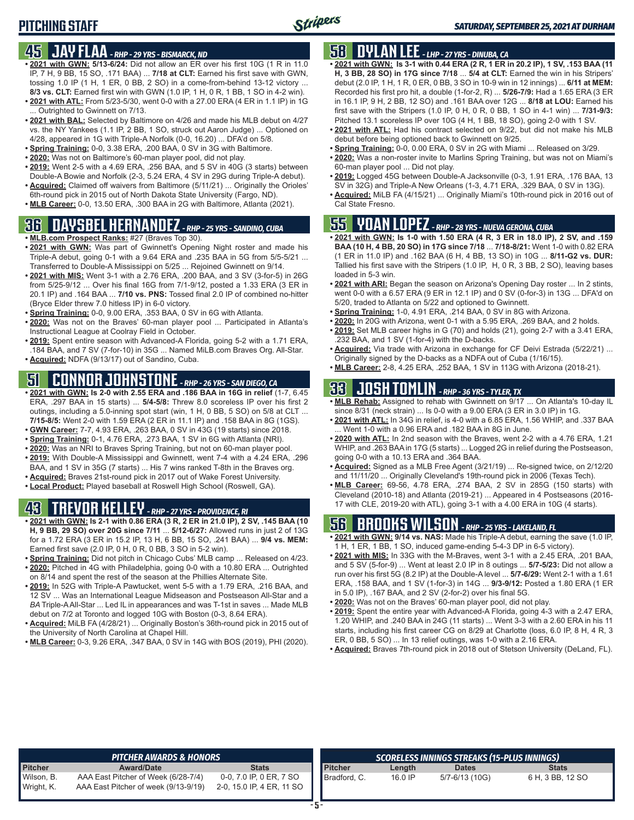### **45 JAY FLAA** *- RHP - 29 YRS - BISMARCK, ND*

- **• 2021 with GWN: 5/13-6/24:** Did not allow an ER over his first 10G (1 R in 11.0 IP, 7 H, 9 BB, 15 SO, .171 BAA) ... **7/18 at CLT:** Earned his first save with GWN, tossing 1.0 IP (1 H, 1 ER, 0 BB, 2 SO) in a come-from-behind 13-12 victory ... **8/3 vs. CLT:** Earned first win with GWN (1.0 IP, 1 H, 0 R, 1 BB, 1 SO in 4-2 win).
- **• 2021 with ATL:** From 5/23-5/30, went 0-0 with a 27.00 ERA (4 ER in 1.1 IP) in 1G ... Outrighted to Gwinnett on 7/13.
- **• 2021 with BAL:** Selected by Baltimore on 4/26 and made his MLB debut on 4/27 vs. the NY Yankees (1.1 IP, 2 BB, 1 SO, struck out Aaron Judge) ... Optioned on 4/28, appeared in 1G with Triple-A Norfolk (0-0, 16.20) ... DFA'd on 5/8.
- **• Spring Training:** 0-0, 3.38 ERA, .200 BAA, 0 SV in 3G with Baltimore.
- **• 2020:** Was not on Baltimore's 60-man player pool, did not play.
- **• 2019:** Went 2-5 with a 4.69 ERA, .256 BAA, and 5 SV in 40G (3 starts) between Double-A Bowie and Norfolk (2-3, 5.24 ERA, 4 SV in 29G during Triple-A debut).
- **• Acquired:** Claimed off waivers from Baltimore (5/11/21) ... Originally the Orioles' 6th-round pick in 2015 out of North Dakota State University (Fargo, ND).
- **• MLB Career:** 0-0, 13.50 ERA, .300 BAA in 2G with Baltimore, Atlanta (2021).

### **36 DAYSBEL HERNANDEZ** *- RHP - 25 YRS - SANDINO, CUBA*

- **• MLB.com Prospect Ranks:** #27 (Braves Top 30).
- **• 2021 with GWN:** Was part of Gwinnett's Opening Night roster and made his Triple-A debut, going 0-1 with a 9.64 ERA and .235 BAA in 5G from 5/5-5/21 ... Transferred to Double-A Mississippi on 5/25 ... Rejoined Gwinnett on 9/14.
- **• 2021 with MIS:** Went 3-1 with a 2.76 ERA, .200 BAA, and 3 SV (3-for-5) in 26G from 5/25-9/12 ... Over his final 16G from 7/1-9/12, posted a 1.33 ERA (3 ER in 20.1 IP) and .164 BAA ... **7/10 vs. PNS:** Tossed final 2.0 IP of combined no-hitter (Bryce Elder threw 7.0 hitless IP) in 6-0 victory.
- **• Spring Training:** 0-0, 9.00 ERA, .353 BAA, 0 SV in 6G with Atlanta.
- **• 2020:** Was not on the Braves' 60-man player pool ... Participated in Atlanta's Instructional League at Coolray Field in October.
- **• 2019:** Spent entire season with Advanced-A Florida, going 5-2 with a 1.71 ERA, .184 BAA, and 7 SV (7-for-10) in 35G ... Named MiLB.com Braves Org. All-Star.
- **• Acquired:** NDFA (9/13/17) out of Sandino, Cuba.

## **51 CONNOR JOHNSTONE** *- RHP - 26 YRS - SAN DIEGO, CA*

- **• 2021 with GWN: Is 2-0 with 2.55 ERA and .186 BAA in 16G in relief** (1-7, 6.45 ERA, .297 BAA in 15 starts) ... **5/4-5/8:** Threw 8.0 scoreless IP over his first 2 outings, including a 5.0-inning spot start (win, 1 H, 0 BB, 5 SO) on 5/8 at CLT ... **7/15-8/5:** Went 2-0 with 1.59 ERA (2 ER in 11.1 IP) and .158 BAA in 8G (1GS). **• GWN Career:** 7-7, 4.93 ERA, .263 BAA, 0 SV in 43G (19 starts) since 2018.
- **• Spring Training:** 0-1, 4.76 ERA, .273 BAA, 1 SV in 6G with Atlanta (NRI).
- **• 2020:** Was an NRI to Braves Spring Training, but not on 60-man player pool.
- **• 2019:** With Double-A Mississippi and Gwinnett, went 7-4 with a 4.24 ERA, .296
- BAA, and 1 SV in 35G (7 starts) ... His 7 wins ranked T-8th in the Braves org.
- **• Acquired:** Braves 21st-round pick in 2017 out of Wake Forest University.
- **• Local Product:** Played baseball at Roswell High School (Roswell, GA).

## **43 TREVOR KELLEY** *- RHP - 27 YRS - PROVIDENCE, RI*

- **• 2021 with GWN: Is 2-1 with 0.86 ERA (3 R, 2 ER in 21.0 IP), 2 SV, .145 BAA (10 H, 9 BB, 29 SO) over 20G since 7/11** ... **5/12-6/27:** Allowed runs in just 2 of 13G for a 1.72 ERA (3 ER in 15.2 IP, 13 H, 6 BB, 15 SO, .241 BAA) ... **9/4 vs. MEM:** Earned first save (2.0 IP, 0 H, 0 R, 0 BB, 3 SO in 5-2 win).
- **• Spring Training:** Did not pitch in Chicago Cubs' MLB camp ... Released on 4/23. **• 2020:** Pitched in 4G with Philadelphia, going 0-0 with a 10.80 ERA ... Outrighted
- on 8/14 and spent the rest of the season at the Phillies Alternate Site.
- **• 2019:** In 52G with Triple-A Pawtucket, went 5-5 with a 1.79 ERA, .216 BAA, and 12 SV ... Was an International League Midseason and Postseason All-Star and a *BA* Triple-A All-Star ... Led IL in appearances and was T-1st in saves ... Made MLB debut on 7/2 at Toronto and logged 10G with Boston (0-3, 8.64 ERA).
- **• Acquired:** MiLB FA (4/28/21) ... Originally Boston's 36th-round pick in 2015 out of the University of North Carolina at Chapel Hill.
- **• MLB Career:** 0-3, 9.26 ERA, .347 BAA, 0 SV in 14G with BOS (2019), PHI (2020).

### **58 DYLAN LEE** *- LHP - 27 YRS - DINUBA, CA*

- **• 2021 with GWN: Is 3-1 with 0.44 ERA (2 R, 1 ER in 20.2 IP), 1 SV, .153 BAA (11 H, 3 BB, 28 SO) in 17G since 7/18** ... **5/4 at CLT:** Earned the win in his Stripers' debut (2.0 IP, 1 H, 1 R, 0 ER, 0 BB, 3 SO in 10-9 win in 12 innings) ... **6/11 at MEM:** Recorded his first pro hit, a double (1-for-2, R) ... **5/26-7/9:** Had a 1.65 ERA (3 ER in 16.1 IP, 9 H, 2 BB, 12 SO) and .161 BAA over 12G ... **8/18 at LOU:** Earned his first save with the Stripers (1.0 IP, 0 H, 0 R, 0 BB, 1 SO in 4-1 win) ... **7/31-9/3:** Pitched 13.1 scoreless IP over 10G (4 H, 1 BB, 18 SO), going 2-0 with 1 SV.
- **• 2021 with ATL:** Had his contract selected on 9/22, but did not make his MLB debut before being optioned back to Gwinnett on 9/25.
- **• Spring Training:** 0-0, 0.00 ERA, 0 SV in 2G with Miami ... Released on 3/29.
- **• 2020:** Was a non-roster invite to Marlins Spring Training, but was not on Miami's 60-man player pool ... Did not play.
- **• 2019:** Logged 45G between Double-A Jacksonville (0-3, 1.91 ERA, .176 BAA, 13 SV in 32G) and Triple-A New Orleans (1-3, 4.71 ERA, .329 BAA, 0 SV in 13G).
- **• Acquired:** MiLB FA (4/15/21) ... Originally Miami's 10th-round pick in 2016 out of Cal State Fresno.

### **55 YOAN LOPEZ** *- RHP - 28 YRS - NUEVA GERONA, CUBA*

- **• 2021 with GWN: Is 1-0 with 1.50 ERA (4 R, 3 ER in 18.0 IP), 2 SV, and .159 BAA (10 H, 4 BB, 20 SO) in 17G since 7/18** ... **7/18-8/21:** Went 1-0 with 0.82 ERA (1 ER in 11.0 IP) and .162 BAA (6 H, 4 BB, 13 SO) in 10G ... **8/11-G2 vs. DUR:** Tallied his first save with the Stripers (1.0 IP, H, 0 R, 3 BB, 2 SO), leaving bases loaded in 5-3 win.
- **• 2021 with ARI:** Began the season on Arizona's Opening Day roster ... In 2 stints, went 0-0 with a 6.57 ERA (9 ER in 12.1 IP) and 0 SV (0-for-3) in 13G ... DFA'd on 5/20, traded to Atlanta on 5/22 and optioned to Gwinnett.
- **• Spring Training:** 1-0, 4.91 ERA, .214 BAA, 0 SV in 8G with Arizona.
- **• 2020:** In 20G with Arizona, went 0-1 with a 5.95 ERA, .269 BAA, and 2 holds. **• 2019:** Set MLB career highs in G (70) and holds (21), going 2-7 with a 3.41 ERA,
- .232 BAA, and 1 SV (1-for-4) with the D-backs. **• Acquired:** Via trade with Arizona in exchange for CF Deivi Estrada (5/22/21) ...
- Originally signed by the D-backs as a NDFA out of Cuba (1/16/15).
- **• MLB Career:** 2-8, 4.25 ERA, .252 BAA, 1 SV in 113G with Arizona (2018-21).

## **33 JOSH TOMLIN** *- RHP - 36 YRS - TYLER, TX*

- **• MLB Rehab:** Assigned to rehab with Gwinnett on 9/17 ... On Atlanta's 10-day IL since 8/31 (neck strain) ... Is 0-0 with a 9.00 ERA (3 ER in 3.0 IP) in 1G.
- **• 2021 with ATL:** In 34G in relief, is 4-0 with a 6.85 ERA, 1.56 WHIP, and .337 BAA ... Went 1-0 with a 0.96 ERA and .182 BAA in 8G in June.
- **• 2020 with ATL:** In 2nd season with the Braves, went 2-2 with a 4.76 ERA, 1.21 WHIP, and .263 BAA in 17G (5 starts) ... Logged 2G in relief during the Postseason, going 0-0 with a 10.13 ERA and .364 BAA.
- **• Acquired:** Signed as a MLB Free Agent (3/21/19) ... Re-signed twice, on 2/12/20 and 11/11/20 ... Originally Cleveland's 19th-round pick in 2006 (Texas Tech).
- **• MLB Career:** 69-56, 4.78 ERA, .274 BAA, 2 SV in 285G (150 starts) with Cleveland (2010-18) and Atlanta (2019-21) ... Appeared in 4 Postseasons (2016- 17 with CLE, 2019-20 with ATL), going 3-1 with a 4.00 ERA in 10G (4 starts).

## **56 BROOKS WILSON** *- RHP - 25 YRS - LAKELAND, FL*

- **• 2021 with GWN: 9/14 vs. NAS:** Made his Triple-A debut, earning the save (1.0 IP, 1 H, 1 ER, 1 BB, 1 SO, induced game-ending 5-4-3 DP in 6-5 victory).
- **• 2021 with MIS:** In 33G with the M-Braves, went 3-1 with a 2.45 ERA, .201 BAA, and 5 SV (5-for-9) ... Went at least 2.0 IP in 8 outings ... **5/7-5/23:** Did not allow a run over his first 5G (8.2 IP) at the Double-A level ... **5/7-6/29:** Went 2-1 with a 1.61 ERA, .158 BAA, and 1 SV (1-for-3) in 14G ... **9/3-9/12:** Posted a 1.80 ERA (1 ER in 5.0 IP), .167 BAA, and 2 SV (2-for-2) over his final 5G.
- **• 2020:** Was not on the Braves' 60-man player pool, did not play.
- **• 2019:** Spent the entire year with Advanced-A Florida, going 4-3 with a 2.47 ERA, 1.20 WHIP, and .240 BAA in 24G (11 starts) ... Went 3-3 with a 2.60 ERA in his 11 starts, including his first career CG on 8/29 at Charlotte (loss, 6.0 IP, 8 H, 4 R, 3 ER, 0 BB, 5 SO) ... In 13 relief outings, was 1-0 with a 2.16 ERA.
- **• Acquired:** Braves 7th-round pick in 2018 out of Stetson University (DeLand, FL).

|                          | <b>PITCHER AWARDS &amp; HONORS</b>                                          |                                                      |                |         | SCORELESS INNINGS STREAKS (15-PLUS INNINGS) |                  |
|--------------------------|-----------------------------------------------------------------------------|------------------------------------------------------|----------------|---------|---------------------------------------------|------------------|
| <b>Pitcher</b>           | <b>Award/Date</b>                                                           | Stats                                                | <b>Pitcher</b> | Length  | <b>Dates</b>                                | <b>Stats</b>     |
| Wilson, B.<br>Wright, K. | AAA East Pitcher of Week (6/28-7/4)<br>AAA East Pitcher of week (9/13-9/19) | 0-0, 7.0 IP, 0 ER, 7 SO<br>2-0, 15.0 IP, 4 ER, 11 SO | Bradford, C.   | 16.0 IP | 5/7-6/13 (10G)                              | 6 H, 3 BB, 12 SO |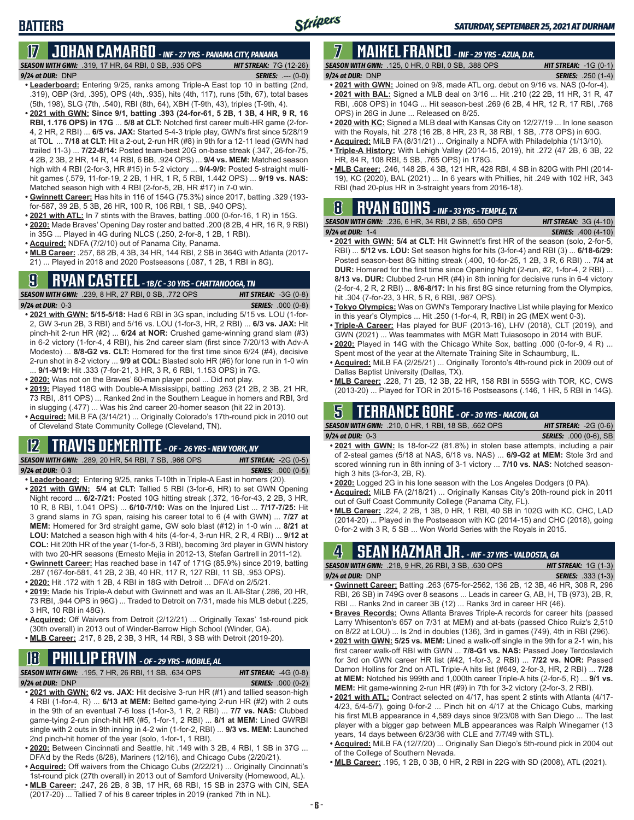## **17 JOHAN CAMARGO** *- INF - 27 YRS - PANAMA CITY, PANAMA*

*SEASON WITH GWN:*.319, 17 HR, 64 RBI, 0 SB, .935 OPS *HIT STREAK:* 7G (12-26)

#### *9/24 at DUR:* DNP *SERIES:* .--- (0-0)

- **• Leaderboard:** Entering 9/25, ranks among Triple-A East top 10 in batting (2nd, .319), OBP (3rd, .395), OPS (4th, .935), hits (4th, 117), runs (5th, 67), total bases (5th, 198), SLG (7th, .540), RBI (8th, 64), XBH (T-9th, 43), triples (T-9th, 4).
- **• 2021 with GWN: Since 9/1, batting .393 (24-for-61, 5 2B, 1 3B, 4 HR, 9 R, 16 RBI, 1.176 OPS) in 17G** ... **5/8 at CLT:** Notched first career multi-HR game (2-for-4, 2 HR, 2 RBI) ... **6/5 vs. JAX:** Started 5-4-3 triple play, GWN's first since 5/28/19 at TOL ... **7/18 at CLT:** Hit a 2-out, 2-run HR (#8) in 9th for a 12-11 lead (GWN had trailed 11-3) ... **7/22-8/14:** Posted team-best 20G on-base streak (.347, 26-for-75, 4 2B, 2 3B, 2 HR, 14 R, 14 RBI, 6 BB, .924 OPS) ... **9/4 vs. MEM:** Matched season high with 4 RBI (2-for-3, HR #15) in 5-2 victory ... **9/4-9/9:** Posted 5-straight multihit games (.579, 11-for-19, 2 2B, 1 HR, 1 R, 5 RBI, 1.442 OPS) ... **9/19 vs. NAS:** Matched season high with 4 RBI (2-for-5, 2B, HR #17) in 7-0 win.
- **• Gwinnett Career:** Has hits in 116 of 154G (75.3%) since 2017, batting .329 (193 for-587, 39 2B, 5 3B, 26 HR, 100 R, 106 RBI, 1 SB, .940 OPS).
- **• 2021 with ATL:** In 7 stints with the Braves, batting .000 (0-for-16, 1 R) in 15G.
- **• 2020:** Made Braves' Opening Day roster and batted .200 (8 2B, 4 HR, 16 R, 9 RBI) in 35G ... Played in 4G during NLCS (.250, 2-for-8, 1 2B, 1 RBI).
- **• Acquired:** NDFA (7/2/10) out of Panama City, Panama.
- **• MLB Career:** .257, 68 2B, 4 3B, 34 HR, 144 RBI, 2 SB in 364G with Atlanta (2017- 21) ... Played in 2018 and 2020 Postseasons (.087, 1 2B, 1 RBI in 8G).

## **9 RYAN CASTEEL** *- 1B/C - 30 YRS - CHATTANOOGA, TN*

*SEASON WITH GWN:*.239, 8 HR, 27 RBI, 0 SB, .772 OPS *HIT STREAK:* -3G (0-8) *9/24 at DUR:*0-3 *SERIES:* .000 (0-8)

- **• 2021 with GWN: 5/15-5/18:** Had 6 RBI in 3G span, including 5/15 vs. LOU (1-for-2, GW 3-run 2B, 3 RBI) and 5/16 vs. LOU (1-for-3, HR, 2 RBI) ... **6/3 vs. JAX:** Hit pinch-hit 2-run HR (#2) ... **6/24 at NOR:** Crushed game-winning grand slam (#3) in 6-2 victory (1-for-4, 4 RBI), his 2nd career slam (first since 7/20/13 with Adv-A Modesto) ... **8/8-G2 vs. CLT:** Homered for the first time since 6/24 (#4), decisive 2-run shot in 8-2 victory ... **9/9 at COL:** Blasted solo HR (#6) for lone run in 1-0 win ... **9/1-9/19:** Hit .333 (7-for-21, 3 HR, 3 R, 6 RBI, 1.153 OPS) in 7G.
- **• 2020:** Was not on the Braves' 60-man player pool ... Did not play.
- **• 2019:** Played 118G with Double-A Mississippi, batting .263 (21 2B, 2 3B, 21 HR, 73 RBI, .811 OPS) ... Ranked 2nd in the Southern League in homers and RBI, 3rd in slugging (.477) ... Was his 2nd career 20-homer season (hit 22 in 2013).
- **• Acquired:** MiLB FA (3/14/21) ... Originally Colorado's 17th-round pick in 2010 out of Cleveland State Community College (Cleveland, TN).

#### **12 TRAVIS DEMERITTE** *- OF - 26 YRS - NEW YORK, NY*

*SEASON WITH GWN:*.289, 20 HR, 54 RBI, 7 SB, .966 OPS *HIT STREAK:* -2G (0-5) *9/24 at DUR:*0-3 *SERIES:* .000 (0-5)

- **• Leaderboard:** Entering 9/25, ranks T-10th in Triple-A East in homers (20).
- **• 2021 with GWN: 5/4 at CLT:** Tallied 5 RBI (3-for-6, HR) to set GWN Opening Night record ... **6/2-7/21:** Posted 10G hitting streak (.372, 16-for-43, 2 2B, 3 HR, 10 R, 8 RBI, 1.041 OPS) ... **6/10-7/10:** Was on the Injured List ... **7/17-7/25:** Hit 3 grand slams in 7G span, raising his career total to 6 (4 with GWN) ... **7/27 at MEM:** Homered for 3rd straight game, GW solo blast (#12) in 1-0 win ... **8/21 at LOU:** Matched a season high with 4 hits (4-for-4, 3-run HR, 2 R, 4 RBI) ... **9/12 at COL:** Hit 20th HR of the year (1-for-5, 3 RBI), becoming 3rd player in GWN history with two 20-HR seasons (Ernesto Mejia in 2012-13, Stefan Gartrell in 2011-12).
- **• Gwinnett Career:** Has reached base in 147 of 171G (85.9%) since 2019, batting .287 (167-for-581, 41 2B, 2 3B, 40 HR, 117 R, 127 RBI, 11 SB, .953 OPS).
- **• 2020:** Hit .172 with 1 2B, 4 RBI in 18G with Detroit ... DFA'd on 2/5/21.
- **• 2019:** Made his Triple-A debut with Gwinnett and was an IL All-Star (.286, 20 HR, 73 RBI, .944 OPS in 96G) ... Traded to Detroit on 7/31, made his MLB debut (.225, 3 HR, 10 RBI in 48G).
- **• Acquired:** Off Waivers from Detroit (2/12/21) ... Originally Texas' 1st-round pick (30th overall) in 2013 out of Winder-Barrow High School (Winder, GA).
- **• MLB Career:** .217, 8 2B, 2 3B, 3 HR, 14 RBI, 3 SB with Detroit (2019-20).

## **18 PHILLIP ERVIN** *- OF - 29 YRS - MOBILE, AL*

*SEASON WITH GWN:*.195, 7 HR, 26 RBI, 11 SB, .634 OPS *HIT STREAK:* -4G (0-8)

*9/24 at DUR:*DNP *SERIES:* .000 (0-2)

- **• 2021 with GWN: 6/2 vs. JAX:** Hit decisive 3-run HR (#1) and tallied season-high 4 RBI (1-for-4, R) ... **6/13 at MEM:** Belted game-tying 2-run HR (#2) with 2 outs in the 9th of an eventual 7-6 loss (1-for-3, 1 R, 2 RBI) ... **7/7 vs. NAS:** Clubbed game-tying 2-run pinch-hit HR (#5, 1-for-1, 2 RBI) ... **8/1 at MEM:** Lined GWRBI single with 2 outs in 9th inning in 4-2 win (1-for-2, RBI) ... **9/3 vs. MEM:** Launched 2nd pinch-hit homer of the year (solo, 1-for-1, 1 RBI).
- **• 2020:** Between Cincinnati and Seattle, hit .149 with 3 2B, 4 RBI, 1 SB in 37G ... DFA'd by the Reds (8/28), Mariners (12/16), and Chicago Cubs (2/20/21).
- **• Acquired:** Off waivers from the Chicago Cubs (2/22/21) ... Originally Cincinnati's 1st-round pick (27th overall) in 2013 out of Samford University (Homewood, AL).
- **• MLB Career:** .247, 26 2B, 8 3B, 17 HR, 68 RBI, 15 SB in 237G with CIN, SEA (2017-20) ... Tallied 7 of his 8 career triples in 2019 (ranked 7th in NL).

## **7 MAIKEL FRANCO** *- INF - 29 YRS - AZUA, D.R.*

- *SEASON WITH GWN:*.125, 0 HR, 0 RBI, 0 SB, .388 OPS *HIT STREAK:* -1G (0-1) *9/24 at DUR:*DNP *SERIES:* .250 (1-4)
- **• 2021 with GWN:** Joined on 9/8, made ATL org. debut on 9/16 vs. NAS (0-for-4).
- **• 2021 with BAL:** Signed a MLB deal on 3/16 ... Hit .210 (22 2B, 11 HR, 31 R, 47 RBI, .608 OPS) in 104G ... Hit season-best .269 (6 2B, 4 HR, 12 R, 17 RBI, .768 OPS) in 26G in June ... Released on 8/25.
- **• 2020 with KC:** Signed a MLB deal with Kansas City on 12/27/19 ... In lone season with the Royals, hit .278 (16 2B, 8 HR, 23 R, 38 RBI, 1 SB, .778 OPS) in 60G.
- **• Acquired:** MiLB FA (8/31/21) ... Originally a NDFA with Philadelphia (1/13/10).
- **• Triple-A History:** With Lehigh Valley (2014-15, 2019), hit .272 (47 2B, 6 3B, 22 HR, 84 R, 108 RBI, 5 SB, .765 OPS) in 178G.
- **• MLB Career:** .246, 148 2B, 4 3B, 121 HR, 428 RBI, 4 SB in 820G with PHI (2014- 19), KC (2020), BAL (2021) ... In 6 years with Phillies, hit .249 with 102 HR, 343 RBI (had 20-plus HR in 3-straight years from 2016-18).

## **8 RYAN GOINS** *- INF - 33 YRS - TEMPLE, TX*

| <b>SEASON WITH GWN:</b> .236, 6 HR, 34 RBI, 2 SB, .650 OPS | <b>HIT STREAK:</b> $3G(4-10)$ |
|------------------------------------------------------------|-------------------------------|
| $9/24$ at DUR: 1-4                                         | <b>SERIES:</b> .400 (4-10)    |
| $\cdots$ $\cdots$ $\cdots$ $\cdots$                        |                               |

- **• 2021 with GWN: 5/4 at CLT:** Hit Gwinnett's first HR of the season (solo, 2-for-5, RBI) ... **5/12 vs. LOU:** Set season highs for hits (3-for-4) and RBI (3) ... **6/18-6/29:** Posted season-best 8G hitting streak (.400, 10-for-25, 1 2B, 3 R, 6 RBI) ... **7/4 at DUR:** Homered for the first time since Opening Night (2-run, #2, 1-for-4, 2 RBI) ... **8/13 vs. DUR:** Clubbed 2-run HR (#4) in 8th inning for decisive runs in 6-4 victory (2-for-4, 2 R, 2 RBI) ... **8/6-8/17:** In his first 8G since returning from the Olympics, hit .304 (7-for-23, 3 HR, 5 R, 6 RBI, .987 OPS).
- **• Tokyo Olympics:** Was on GWN's Temporary Inactive List while playing for Mexico in this year's Olympics ... Hit .250 (1-for-4, R, RBI) in 2G (MEX went 0-3).
- **• Triple-A Career:** Has played for BUF (2013-16), LHV (2018), CLT (2019), and GWN (2021) ... Was teammates with MGR Matt Tuiasosopo in 2014 with BUF.
- **• 2020:** Played in 14G with the Chicago White Sox, batting .000 (0-for-9, 4 R) ... Spent most of the year at the Alternate Training Site in Schaumburg, IL.
- **• Acquired:** MiLB FA (2/25/21) ... Originally Toronto's 4th-round pick in 2009 out of Dallas Baptist University (Dallas, TX).
- **• MLB Career:** .228, 71 2B, 12 3B, 22 HR, 158 RBI in 555G with TOR, KC, CWS (2013-20) ... Played for TOR in 2015-16 Postseasons (.146, 1 HR, 5 RBI in 14G).

### **5 TERRANCE GORE** *- OF - 30 YRS - MACON, GA*

*SEASON WITH GWN:*.210, 0 HR, 1 RBI, 18 SB, .662 OPS *HIT STREAK:* -2G (0-6) *9/24 at DUR:*0-3 *SERIES:* .000 (0-6), SB

- **• 2021 with GWN:** Is 18-for-22 (81.8%) in stolen base attempts, including a pair of 2-steal games (5/18 at NAS, 6/18 vs. NAS) ... **6/9-G2 at MEM:** Stole 3rd and scored winning run in 8th inning of 3-1 victory ... **7/10 vs. NAS:** Notched seasonhigh 3 hits (3-for-3, 2B, R).
- **• 2020:** Logged 2G in his lone season with the Los Angeles Dodgers (0 PA).
- **• Acquired:** MiLB FA (2/18/21) ... Originally Kansas City's 20th-round pick in 2011 out of Gulf Coast Community College (Panama City, FL).
- **• MLB Career:** .224, 2 2B, 1 3B, 0 HR, 1 RBI, 40 SB in 102G with KC, CHC, LAD (2014-20) ... Played in the Postseason with KC (2014-15) and CHC (2018), going 0-for-2 with 3 R, 5 SB ... Won World Series with the Royals in 2015.

### **4 SEAN KAZMAR JR.** *- INF - 37 YRS - VALDOSTA, GA*

| <b>SEASON WITH GWN: .218. 9 HR. 26 RBI. 3 SB. .630 OPS</b> |  | <b>HIT STREAK:</b> $1G(1-3)$ |  |
|------------------------------------------------------------|--|------------------------------|--|
| $9/24$ at DUR: DNP                                         |  | <b>SERIES:</b> .333 (1-3)    |  |
|                                                            |  |                              |  |

- **• Gwinnett Career:** Batting .263 (675-for-2562, 136 2B, 12 3B, 46 HR, 308 R, 296 RBI, 26 SB) in 749G over 8 seasons ... Leads in career G, AB, H, TB (973), 2B, R, RBI ... Ranks 2nd in career 3B (12) ... Ranks 3rd in career HR (46).
- **• Braves Records:** Owns Atlanta Braves Triple-A records for career hits (passed Larry Whisenton's 657 on 7/31 at MEM) and at-bats (passed Chico Ruiz's 2,510 on 8/22 at LOU) ... Is 2nd in doubles (136), 3rd in games (749), 4th in RBI (296).
- **• 2021 with GWN: 5/25 vs. MEM:** Lined a walk-off single in the 9th for a 2-1 win, his first career walk-off RBI with GWN ... **7/8-G1 vs. NAS:** Passed Joey Terdoslavich for 3rd on GWN career HR list (#42, 1-for-3, 2 RBI) ... **7/22 vs. NOR:** Passed Damon Hollins for 2nd on ATL Triple-A hits list (#649, 2-for-3, HR, 2 RBI) ... **7/28 at MEM:** Notched his 999th and 1,000th career Triple-A hits (2-for-5, R) ... **9/1 vs. MEM:** Hit game-winning 2-run HR (#9) in 7th for 3-2 victory (2-for-3, 2 RBI).
- **• 2021 with ATL:** Contract selected on 4/17, has spent 2 stints with Atlanta (4/17- 4/23, 5/4-5/7), going 0-for-2 ... Pinch hit on 4/17 at the Chicago Cubs, marking his first MLB appearance in 4,589 days since 9/23/08 with San Diego ... The last player with a bigger gap between MLB appearances was Ralph Winegarner (13 years, 14 days between 6/23/36 with CLE and 7/7/49 with STL).
- **• Acquired:** MiLB FA (12/7/20) ... Originally San Diego's 5th-round pick in 2004 out of the College of Southern Nevada.
- **• MLB Career:** .195, 1 2B, 0 3B, 0 HR, 2 RBI in 22G with SD (2008), ATL (2021).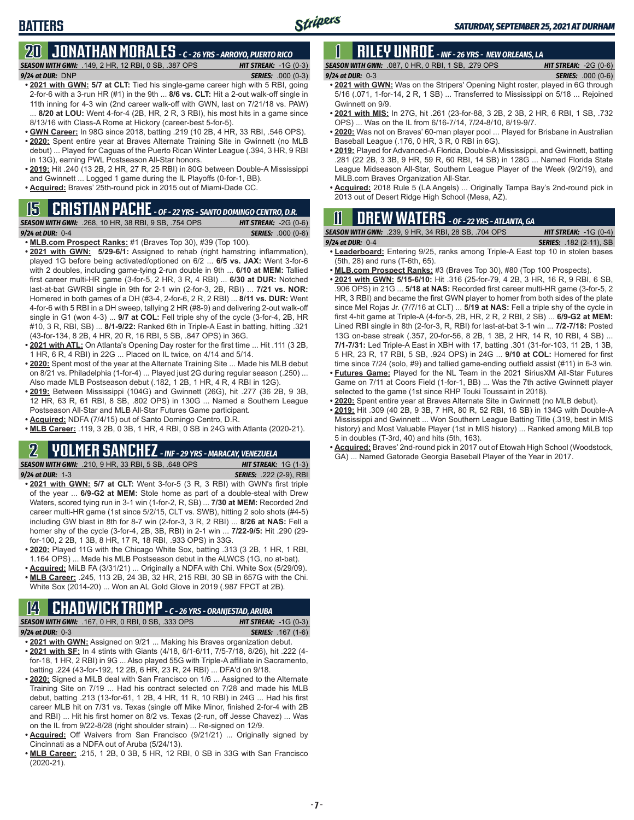## **BATTERS**

#### **20 JONATHAN MORALES** *- C - 26 YRS - ARROYO, PUERTO RICO SEASON WITH GWN:*.149, 2 HR, 12 RBI, 0 SB, .387 OPS *HIT STREAK:* -1G (0-3)

*9/24 at DUR:*DNP *SERIES:* .000 (0-3)

- **• 2021 with GWN: 5/7 at CLT:** Tied his single-game career high with 5 RBI, going 2-for-6 with a 3-run HR (#1) in the 9th ... **8/6 vs. CLT:** Hit a 2-out walk-off single in 11th inning for 4-3 win (2nd career walk-off with GWN, last on 7/21/18 vs. PAW) 8/20 at LOU: Went 4-for-4 (2B, HR, 2 R, 3 RBI), his most hits in a game since 8/13/16 with Class-A Rome at Hickory (career-best 5-for-5).
- **• GWN Career:** In 98G since 2018, batting .219 (10 2B, 4 HR, 33 RBI, .546 OPS). **• 2020:** Spent entire year at Braves Alternate Training Site in Gwinnett (no MLB
- debut) ... Played for Caguas of the Puerto Rican Winter League (.394, 3 HR, 9 RBI in 13G), earning PWL Postseason All-Star honors.
- **• 2019:** Hit .240 (13 2B, 2 HR, 27 R, 25 RBI) in 80G between Double-A Mississippi and Gwinnett ... Logged 1 game during the IL Playoffs (0-for-1, BB).
- **• Acquired:** Braves' 25th-round pick in 2015 out of Miami-Dade CC.

### **15 CRISTIAN PACHE** *- OF - 22 YRS - SANTO DOMINGO CENTRO, D.R.*

*SEASON WITH GWN:*.268, 10 HR, 38 RBI, 9 SB, .754 OPS *HIT STREAK:* -2G (0-6)

- *9/24 at DUR:* 0-4 *SERIES:* .000 (0-6) **• MLB.com Prospect Ranks:** #1 (Braves Top 30), #39 (Top 100).
- **• 2021 with GWN: 5/29-6/1:** Assigned to rehab (right hamstring inflammation), played 1G before being activated/optioned on 6/2 ... **6/5 vs. JAX:** Went 3-for-6 with 2 doubles, including game-tying 2-run double in 9th ... **6/10 at MEM:** Tallied first career multi-HR game (3-for-5, 2 HR, 3 R, 4 RBI) ... **6/30 at DUR:** Notched last-at-bat GWRBI single in 9th for 2-1 win (2-for-3, 2B, RBI) ... **7/21 vs. NOR:** Homered in both games of a DH (#3-4, 2-for-6, 2 R, 2 RBI) ... **8/11 vs. DUR:** Went 4-for-6 with 5 RBI in a DH sweep, tallying 2 HR (#8-9) and delivering 2-out walk-off single in G1 (won 4-3) ... **9/7 at COL:** Fell triple shy of the cycle (3-for-4, 2B, HR #10, 3 R, RBI, SB) ... **8/1-9/22:** Ranked 6th in Triple-A East in batting, hitting .321 (43-for-134, 8 2B, 4 HR, 20 R, 16 RBI, 5 SB, .847 OPS) in 36G.
- **• 2021 with ATL:** On Atlanta's Opening Day roster for the first time ... Hit .111 (3 2B, 1 HR, 6 R, 4 RBI) in 22G ... Placed on IL twice, on 4/14 and 5/14.
- **• 2020:** Spent most of the year at the Alternate Training Site ... Made his MLB debut on 8/21 vs. Philadelphia (1-for-4) ... Played just 2G during regular season (.250) ... Also made MLB Postseason debut (.182, 1 2B, 1 HR, 4 R, 4 RBI in 12G).
- **• 2019:** Between Mississippi (104G) and Gwinnett (26G), hit .277 (36 2B, 9 3B, 12 HR, 63 R, 61 RBI, 8 SB, .802 OPS) in 130G ... Named a Southern League Postseason All-Star and MLB All-Star Futures Game participant.
- **• Acquired:** NDFA (7/4/15) out of Santo Domingo Centro, D.R.
- **• MLB Career:** .119, 3 2B, 0 3B, 1 HR, 4 RBI, 0 SB in 24G with Atlanta (2020-21).

## **2 YOLMER SANCHEZ** *- INF - 29 YRS - MARACAY, VENEZUELA*

*SEASON WITH GWN:*.210, 9 HR, 33 RBI, 5 SB, .648 OPS *HIT STREAK:* 1G (1-3) *9/24 at DUR:*1-3 *SERIES:* .222 (2-9), RBI

- **• 2021 with GWN: 5/7 at CLT:** Went 3-for-5 (3 R, 3 RBI) with GWN's first triple of the year ... **6/9-G2 at MEM:** Stole home as part of a double-steal with Drew Waters, scored tying run in 3-1 win (1-for-2, R, SB) ... **7/30 at MEM:** Recorded 2nd career multi-HR game (1st since 5/2/15, CLT vs. SWB), hitting 2 solo shots (#4-5) including GW blast in 8th for 8-7 win (2-for-3, 3 R, 2 RBI) ... **8/26 at NAS:** Fell a homer shy of the cycle (3-for-4, 2B, 3B, RBI) in 2-1 win ... **7/22-9/5:** Hit .290 (29 for-100, 2 2B, 1 3B, 8 HR, 17 R, 18 RBI, .933 OPS) in 33G.
- **• 2020:** Played 11G with the Chicago White Sox, batting .313 (3 2B, 1 HR, 1 RBI, 1.164 OPS) ... Made his MLB Postseason debut in the ALWCS (1G, no at-bat).
- **• Acquired:** MiLB FA (3/31/21) ... Originally a NDFA with Chi. White Sox (5/29/09). **• MLB Career:** .245, 113 2B, 24 3B, 32 HR, 215 RBI, 30 SB in 657G with the Chi.

#### White Sox (2014-20) ... Won an AL Gold Glove in 2019 (.987 FPCT at 2B).

# **14 CHADWICK TROMP** *- C - 26 YRS - ORANJESTAD, ARUBA*

|                    | <b>SEASON WITH GWN:</b> 167, 0 HR, 0 RBI, 0 SB, 333 G |   |
|--------------------|-------------------------------------------------------|---|
| $9/24$ at DUR: 0-3 |                                                       |   |
|                    | $\sim$                                                | . |

- **HIT STREAK:** -1G (0-3) *9/24 at DUR:*0-3 *SERIES:* .167 (1-6)
- **• 2021 with GWN:** Assigned on 9/21 ... Making his Braves organization debut. **• 2021 with SF:** In 4 stints with Giants (4/18, 6/1-6/11, 7/5-7/18, 8/26), hit .222 (4 for-18, 1 HR, 2 RBI) in 9G ... Also played 55G with Triple-A affiliate in Sacramento, batting .224 (43-for-192, 12 2B, 6 HR, 23 R, 24 RBI) ... DFA'd on 9/18.
- **• 2020:** Signed a MiLB deal with San Francisco on 1/6 ... Assigned to the Alternate Training Site on 7/19 ... Had his contract selected on 7/28 and made his MLB debut, batting .213 (13-for-61, 1 2B, 4 HR, 11 R, 10 RBI) in 24G ... Had his first career MLB hit on 7/31 vs. Texas (single off Mike Minor, finished 2-for-4 with 2B and RBI) ... Hit his first homer on 8/2 vs. Texas (2-run, off Jesse Chavez) ... Was on the IL from 9/22-8/28 (right shoulder strain) ... Re-signed on 12/9.
- **• Acquired:** Off Waivers from San Francisco (9/21/21) ... Originally signed by Cincinnati as a NDFA out of Aruba (5/24/13).
- **• MLB Career:** .215, 1 2B, 0 3B, 5 HR, 12 RBI, 0 SB in 33G with San Francisco (2020-21).

## **1 RILEY UNROE** *- INF - 26 YRS - NEW ORLEANS, LA*

*SEASON WITH GWN:*.087, 0 HR, 0 RBI, 1 SB, .279 OPS *HIT STREAK:* -2G (0-6) *9/24 at DUR:*0-3 *SERIES:* .000 (0-6)

- **• 2021 with GWN:** Was on the Stripers' Opening Night roster, played in 6G through 5/16 (.071, 1-for-14, 2 R, 1 SB) ... Transferred to Mississippi on 5/18 ... Rejoined
- Gwinnett on 9/9. **• 2021 with MIS:** In 27G, hit .261 (23-for-88, 3 2B, 2 3B, 2 HR, 6 RBI, 1 SB, .732 OPS) ... Was on the IL from 6/16-7/14, 7/24-8/10, 8/19-9/7.
- **• 2020:** Was not on Braves' 60-man player pool ... Played for Brisbane in Australian Baseball League (.176, 0 HR, 3 R, 0 RBI in 6G).
- **• 2019:** Played for Advanced-A Florida, Double-A Mississippi, and Gwinnett, batting .281 (22 2B, 3 3B, 9 HR, 59 R, 60 RBI, 14 SB) in 128G ... Named Florida State League Midseason All-Star, Southern League Player of the Week (9/2/19), and MiLB.com Braves Organization All-Star.
- **• Acquired:** 2018 Rule 5 (LA Angels) ... Originally Tampa Bay's 2nd-round pick in 2013 out of Desert Ridge High School (Mesa, AZ).

## **11 Drew WATERS** *- OF - 22 YRS - ATLANTA, GA*

*SEASON WITH GWN:*.239, 9 HR, 34 RBI, 28 SB, .704 OPS *HIT STREAK:* -1G (0-4)

- *9/24 at DUR:*0-4 *SERIES:* .182 (2-11), SB **• Leaderboard:** Entering 9/25, ranks among Triple-A East top 10 in stolen bases (5th, 28) and runs (T-6th, 65).
- **• MLB.com Prospect Ranks:** #3 (Braves Top 30), #80 (Top 100 Prospects).
- **• 2021 with GWN: 5/15-6/10:** Hit .316 (25-for-79, 4 2B, 3 HR, 16 R, 9 RBI, 6 SB, .906 OPS) in 21G ... **5/18 at NAS:** Recorded first career multi-HR game (3-for-5, 2 HR, 3 RBI) and became the first GWN player to homer from both sides of the plate since Mel Rojas Jr. (7/7/16 at CLT) ... **5/19 at NAS:** Fell a triple shy of the cycle in first 4-hit game at Triple-A (4-for-5, 2B, HR, 2 R, 2 RBI, 2 SB) ... **6/9-G2 at MEM:** Lined RBI single in 8th (2-for-3, R, RBI) for last-at-bat 3-1 win ... **7/2-7/18:** Posted 13G on-base streak (.357, 20-for-56, 8 2B, 1 3B, 2 HR, 14 R, 10 RBI, 4 SB) ... **7/1-7/31:** Led Triple-A East in XBH with 17, batting .301 (31-for-103, 11 2B, 1 3B, 5 HR, 23 R, 17 RBI, 5 SB, .924 OPS) in 24G ... **9/10 at COL:** Homered for first time since 7/24 (solo, #9) and tallied game-ending outfield assist (#11) in 6-3 win.
- **• Futures Game:** Played for the NL Team in the 2021 SiriusXM All-Star Futures Game on 7/11 at Coors Field (1-for-1, BB) ... Was the 7th active Gwinnett player selected to the game (1st since RHP Touki Toussaint in 2018).
- **• 2020:** Spent entire year at Braves Alternate Site in Gwinnett (no MLB debut).
- **• 2019:** Hit .309 (40 2B, 9 3B, 7 HR, 80 R, 52 RBI, 16 SB) in 134G with Double-A Mississippi and Gwinnett ... Won Southern League Batting Title (.319, best in MIS history) and Most Valuable Player (1st in MIS history) ... Ranked among MiLB top 5 in doubles (T-3rd, 40) and hits (5th, 163).
- **• Acquired:** Braves' 2nd-round pick in 2017 out of Etowah High School (Woodstock, GA) ... Named Gatorade Georgia Baseball Player of the Year in 2017.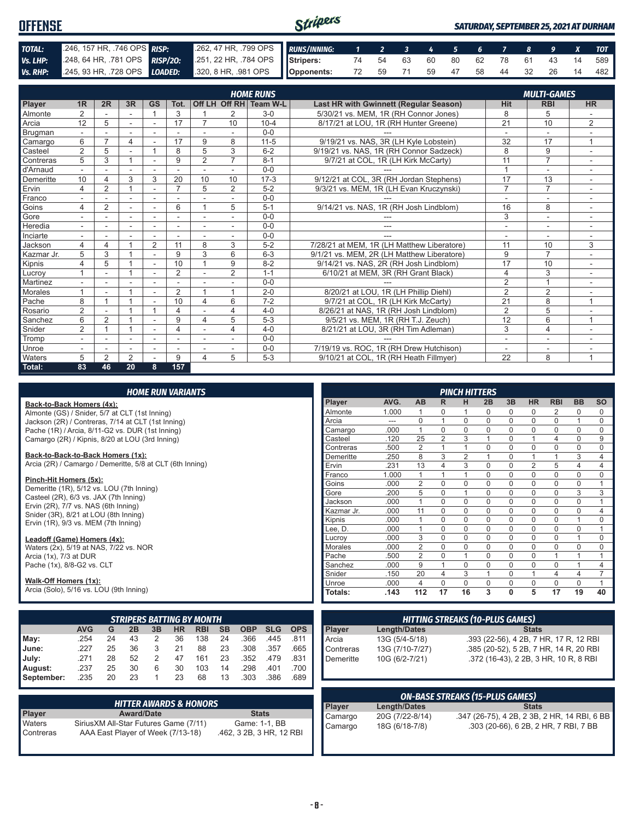| <b>OFFENSE</b> |                                                                                              | Stripers<br><b>SATURDAY, SEPTEMBER 25, 2021 AT DURHAM</b> |  |  |  |  |  |  |  |  |  |                                   |
|----------------|----------------------------------------------------------------------------------------------|-----------------------------------------------------------|--|--|--|--|--|--|--|--|--|-----------------------------------|
| TOTAL:         | 246, 157 HR, 746 OPS RISP:                                                                   | 262, 47 HR, 799 OPS RUNS/INNING: 1 2 3 4 5 6 7 8 9 X      |  |  |  |  |  |  |  |  |  | <b>TOT</b>                        |
| Vs. LHP:       | 248, 64 HR, 781 OPS RISP/20: 251, 22 HR, 784 OPS Stripers: 74 54 63 60 80 62 78 61 43 14 589 |                                                           |  |  |  |  |  |  |  |  |  |                                   |
|                | Vs. RHP: 245, 93 HR, 728 OPS LOADED: 320, 8 HR, 981 OPS Opponents:                           |                                                           |  |  |  |  |  |  |  |  |  | 72 59 71 59 47 58 44 32 26 14 482 |

| Off LH Off RH Team W-L |                          |                          |                          |                          |                |                |                          | <b>HOME RUNS</b> |                                            |                 | <b>MULTI-GAMES</b>       |                          |
|------------------------|--------------------------|--------------------------|--------------------------|--------------------------|----------------|----------------|--------------------------|------------------|--------------------------------------------|-----------------|--------------------------|--------------------------|
| Player                 | 1R                       | 2R                       | 3R                       | <b>GS</b>                | Tot.           |                |                          |                  | Last HR with Gwinnett (Regular Season)     | <b>Hit</b>      | <b>RBI</b>               | <b>HR</b>                |
| Almonte                | 2                        |                          |                          |                          | 3              | 1              | 2                        | $3-0$            | 5/30/21 vs. MEM. 1R (RH Connor Jones)      | 8               | 5                        |                          |
| Arcia                  | 12                       | 5                        |                          |                          | 17             | 7              | 10                       | $10 - 4$         | 8/17/21 at LOU, 1R (RH Hunter Greene)      | 21              | 10                       | $\overline{2}$           |
| <b>Brugman</b>         |                          |                          |                          |                          |                |                |                          | $0 - 0$          |                                            |                 |                          |                          |
| Camargo                | 6                        | $\overline{ }$           | 4                        |                          | 17             | 9              | 8                        | $11 - 5$         | 9/19/21 vs. NAS, 3R (LH Kyle Lobstein)     | 32              | 17                       | 1                        |
| Casteel                | $\overline{2}$           | 5                        | $\overline{\phantom{a}}$ |                          | 8              | 5              | 3                        | $6 - 2$          | 9/19/21 vs. NAS, 1R (RH Connor Sadzeck)    | 8               | 9                        | ۰                        |
| Contreras              | 5                        | 3                        |                          |                          | 9              | $\overline{2}$ | $\overline{7}$           | $8 - 1$          | 9/7/21 at COL, 1R (LH Kirk McCarty)        | 11              | $\overline{7}$           |                          |
| d'Arnaud               |                          |                          |                          |                          |                |                |                          | $0 - 0$          |                                            | $\overline{A}$  |                          |                          |
| Demeritte              | 10                       |                          | 3                        | 3                        | 20             | 10             | 10                       | $17-3$           | 9/12/21 at COL, 3R (RH Jordan Stephens)    | 17              | 13                       |                          |
| Ervin                  | 4                        | 2                        |                          |                          | $\overline{ }$ | 5              | $\overline{2}$           | $5 - 2$          | 9/3/21 vs. MEM, 1R (LH Evan Kruczynski)    | $\overline{7}$  | $\overline{7}$           |                          |
| Franco                 |                          |                          | $\overline{\phantom{a}}$ | $\overline{\phantom{a}}$ |                |                | $\overline{\phantom{a}}$ | $0 - 0$          |                                            | ٠               | $\overline{\phantom{a}}$ | ٠                        |
| Goins                  | 4                        | 2                        | ÷.                       | $\overline{a}$           | 6              |                | 5                        | $5 - 1$          | 9/14/21 vs. NAS, 1R (RH Josh Lindblom)     | 16              | 8                        |                          |
| Gore                   |                          |                          |                          |                          |                |                |                          | $0 - 0$          |                                            | 3               |                          |                          |
| Heredia                |                          |                          |                          |                          |                |                |                          | $0 - 0$          | ---                                        | ٠               | ۰                        |                          |
| Inciarte               |                          |                          |                          |                          |                |                |                          | $0 - 0$          |                                            |                 |                          |                          |
| Jackson                | 4                        | $\overline{4}$           |                          | $\overline{2}$           | 11             | 8              | 3                        | $5 - 2$          | 7/28/21 at MEM, 1R (LH Matthew Liberatore) | 11              | 10                       | 3                        |
| Kazmar Jr.             | 5                        | 3                        |                          |                          | 9              | 3              | 6                        | $6 - 3$          | 9/1/21 vs. MEM, 2R (LH Matthew Liberatore) | 9               | $\overline{7}$           |                          |
| Kipnis                 | 4                        | 5                        |                          |                          | 10             |                | 9                        | $8 - 2$          | 9/14/21 vs. NAS. 2R (RH Josh Lindblom)     | 17              | 10                       |                          |
| Lucroy                 |                          |                          |                          | $\overline{a}$           | $\overline{2}$ |                | $\overline{2}$           | $1 - 1$          | 6/10/21 at MEM, 3R (RH Grant Black)        | 4               | 3                        |                          |
| Martinez               |                          |                          |                          |                          |                |                |                          | $0 - 0$          |                                            | $\overline{2}$  |                          |                          |
| Morales                |                          | $\overline{\phantom{a}}$ |                          | $\blacksquare$           | $\overline{2}$ |                |                          | $2 - 0$          | 8/20/21 at LOU, 1R (LH Phillip Diehl)      | $\overline{2}$  | $\overline{2}$           | ۰                        |
| Pache                  | 8                        |                          |                          | $\overline{\phantom{a}}$ | 10             | 4              | 6                        | $7 - 2$          | 9/7/21 at COL, 1R (LH Kirk McCarty)        | $\overline{21}$ | 8                        | $\overline{ }$           |
| Rosario                | $\overline{2}$           |                          |                          |                          | 4              |                | 4                        | $4 - 0$          | 8/26/21 at NAS, 1R (RH Josh Lindblom)      | $\overline{2}$  | 5                        |                          |
| Sanchez                | 6                        | 2                        |                          |                          | 9              | 4              | 5                        | $5 - 3$          | 9/5/21 vs. MEM, 1R (RH T.J. Zeuch)         | 12              | 6                        | $\overline{ }$           |
| Snider                 | $\overline{2}$           |                          |                          |                          | 4              |                | 4                        | $4 - 0$          | 8/21/21 at LOU, 3R (RH Tim Adleman)        | 3               | $\overline{4}$           |                          |
| Tromp                  | $\overline{\phantom{a}}$ |                          | ٠                        | ٠                        |                | ٠              | ٠                        | $0 - 0$          |                                            | ٠               | ٠                        | $\overline{\phantom{a}}$ |
| Unroe                  |                          |                          | ٠                        | $\overline{\phantom{a}}$ |                |                |                          | $0 - 0$          | 7/19/19 vs. ROC, 1R (RH Drew Hutchison)    | ٠               | ۰                        |                          |
| Waters                 | 5                        | 2                        | 2                        |                          | 9              | 4              | 5                        | $5-3$            | 9/10/21 at COL, 1R (RH Heath Fillmyer)     | 22              | 8                        | 1                        |
| Total:                 | 83                       | 46                       | 20                       | 8                        | 157            |                |                          |                  |                                            |                 |                          |                          |

|  | <b>HOME RUN VARIANTS</b> |  |  |
|--|--------------------------|--|--|
|  |                          |  |  |

**Back-to-Back Homers (4x):** Almonte (GS) / Snider, 5/7 at CLT (1st Inning) Jackson (2R) / Contreras, 7/14 at CLT (1st Inning) Pache (1R) / Arcia, 8/11-G2 vs. DUR (1st Inning)

Camargo (2R) / Kipnis, 8/20 at LOU (3rd Inning)

**Back-to-Back-to-Back Homers (1x):** Arcia (2R) / Camargo / Demeritte, 5/8 at CLT (6th Inning)

#### **Pinch-Hit Homers (5x):**

Demeritte (1R), 5/12 vs. LOU (7th Inning) Casteel (2R), 6/3 vs. JAX (7th Inning) Ervin (2R), 7/7 vs. NAS (6th Inning) Snider (3R), 8/21 at LOU (8th Inning) Ervin (1R), 9/3 vs. MEM (7th Inning)

**Leadoff (Game) Homers (4x):**

Waters (2x), 5/19 at NAS, 7/22 vs. NOR Arcia (1x), 7/3 at DUR Pache (1x), 8/8-G2 vs. CLT

#### **Walk-Off Homers (1x):**

Arcia (Solo), 5/16 vs. LOU (9th Inning)

|            | <b>STRIPERS BATTING BY MONTH</b> |    |    |    |    |            |           |            |            |            |  |  |  |
|------------|----------------------------------|----|----|----|----|------------|-----------|------------|------------|------------|--|--|--|
|            | <b>AVG</b>                       | G  | 2B | 3B | ΗR | <b>RBI</b> | <b>SB</b> | <b>OBP</b> | <b>SLG</b> | <b>OPS</b> |  |  |  |
| May:       | .254                             | 24 | 43 | 2  | 36 | 138        | 24        | .366       | .445       | .811       |  |  |  |
| June:      | .227                             | 25 | 36 | 3  | 21 | 88         | 23        | .308       | .357       | .665       |  |  |  |
| July:      | .271                             | 28 | 52 | 2  | 47 | 161        | 23        | .352       | .479       | .831       |  |  |  |
| August:    | .237                             | 25 | 30 | 6  | 30 | 103        | 14        | .298       | .401       | .700       |  |  |  |
| September: | .235                             | 20 | 23 |    | 23 | 68         | 13        | .303       | .386       | .689       |  |  |  |

|               | <b>HITTER AWARDS &amp; HONORS</b>      |                          |
|---------------|----------------------------------------|--------------------------|
| <b>Player</b> | <b>Award/Date</b>                      | <b>Stats</b>             |
| Waters        | Sirius XM All-Star Futures Game (7/11) | Game: 1-1, BB            |
| Contreras     | AAA East Player of Week (7/13-18)      | .462, 3 2B, 3 HR, 12 RBI |

|            |       |                |                | <b>PINCH HITTERS</b> |             |              |                |                |           |           |
|------------|-------|----------------|----------------|----------------------|-------------|--------------|----------------|----------------|-----------|-----------|
| Player     | AVG.  | <b>AB</b>      | R              | н                    | 2B          | 3B           | <b>HR</b>      | <b>RBI</b>     | <b>BB</b> | <b>SO</b> |
| Almonte    | 1.000 | 1              | 0              | 1                    | 0           | 0            | 0              | 2              | 0         | 0         |
| Arcia      |       | $\Omega$       | 1              | $\Omega$             | $\Omega$    | $\Omega$     | $\Omega$       | $\Omega$       | 1         | 0         |
| Camargo    | .000  | 1              | $\Omega$       | $\Omega$             | $\Omega$    | $\Omega$     | $\Omega$       | $\Omega$       | $\Omega$  | 0         |
| Casteel    | .120  | 25             | $\overline{2}$ | 3                    | 1           | $\Omega$     | 1              | $\overline{4}$ | $\Omega$  | 9         |
| Contreras  | .500  | $\overline{2}$ | 1              | 1                    | 0           | $\Omega$     | $\mathbf 0$    | $\mathbf 0$    | 0         | 0         |
| Demeritte  | .250  | 8              | 3              | $\overline{2}$       | 1           | $\Omega$     | 1              | 1              | 3         | 4         |
| Ervin      | .231  | 13             | 4              | 3                    | $\Omega$    | $\Omega$     | $\overline{2}$ | 5              | 4         | 4         |
| Franco     | 1.000 | 1              | 1              | 1                    | 0           | 0            | 0              | $\Omega$       | 0         | 0         |
| Goins      | .000  | $\overline{2}$ | 0              | $\mathbf 0$          | $\mathbf 0$ | $\mathbf 0$  | $\mathbf 0$    | $\mathbf 0$    | 0         | 1         |
| Gore       | .200  | 5              | $\Omega$       | 1                    | $\Omega$    | $\Omega$     | $\Omega$       | $\Omega$       | 3         | 3         |
| Jackson    | .000  | 1              | $\Omega$       | $\Omega$             | $\Omega$    | $\Omega$     | $\Omega$       | $\Omega$       | $\Omega$  | 1         |
| Kazmar Jr. | .000  | 11             | $\Omega$       | $\Omega$             | $\Omega$    | $\Omega$     | $\Omega$       | $\Omega$       | $\Omega$  | 4         |
| Kipnis     | .000  | 1              | $\Omega$       | $\Omega$             | 0           | $\Omega$     | $\Omega$       | $\Omega$       | 1         | $\Omega$  |
| Lee, D.    | .000  | 1              | $\Omega$       | $\Omega$             | $\Omega$    | $\Omega$     | $\Omega$       | $\Omega$       | $\Omega$  | 1         |
| Lucroy     | .000  | 3              | $\Omega$       | $\Omega$             | 0           | $\Omega$     | $\Omega$       | $\Omega$       | 1         | $\Omega$  |
| Morales    | .000  | $\overline{2}$ | 0              | 0                    | $\Omega$    | $\Omega$     | 0              | $\Omega$       | 0         | 0         |
| Pache      | .500  | $\overline{2}$ | 0              | 1                    | $\mathbf 0$ | $\mathbf 0$  | $\mathbf 0$    | 1              | 1         | 1         |
| Sanchez    | .000  | 9              | 1              | $\Omega$             | $\mathbf 0$ | $\Omega$     | $\mathbf 0$    | $\Omega$       | 1         | 4         |
| Snider     | .150  | 20             | 4              | 3                    | 1           | $\Omega$     | 1              | $\overline{4}$ | 4         | 7         |
| Unroe      | .000  | 4              | $\Omega$       | $\Omega$             | $\Omega$    | $\Omega$     | $\Omega$       | $\Omega$       | $\Omega$  | 1         |
| Totals:    | .143  | 112            | 17             | 16                   | 3           | $\mathbf{0}$ | 5              | 17             | 19        | 40        |

| <b>HITTING STREAKS (10-PLUS GAMES)</b> |                     |                                        |
|----------------------------------------|---------------------|----------------------------------------|
| Player                                 | <b>Length/Dates</b> | <b>Stats</b>                           |
| Arcia                                  | 13G (5/4-5/18)      | .393 (22-56), 4 2B, 7 HR, 17 R, 12 RBI |
| Contreras                              | 13G (7/10-7/27)     | .385 (20-52), 5 2B, 7 HR, 14 R, 20 RBI |
| Demeritte                              | 10G (6/2-7/21)      | .372 (16-43), 2 2B, 3 HR, 10 R, 8 RBI  |

| <b>ON-BASE STREAKS (15-PLUS GAMES)</b> |                 |                                              |
|----------------------------------------|-----------------|----------------------------------------------|
| Player<br>Camargo                      | Length/Dates    | <b>Stats</b>                                 |
|                                        | 20G (7/22-8/14) | .347 (26-75), 4 2B, 2 3B, 2 HR, 14 RBI, 6 BB |
| Camargo                                | 18G (6/18-7/8)  | .303 (20-66), 6 2B, 2 HR, 7 RBI, 7 BB        |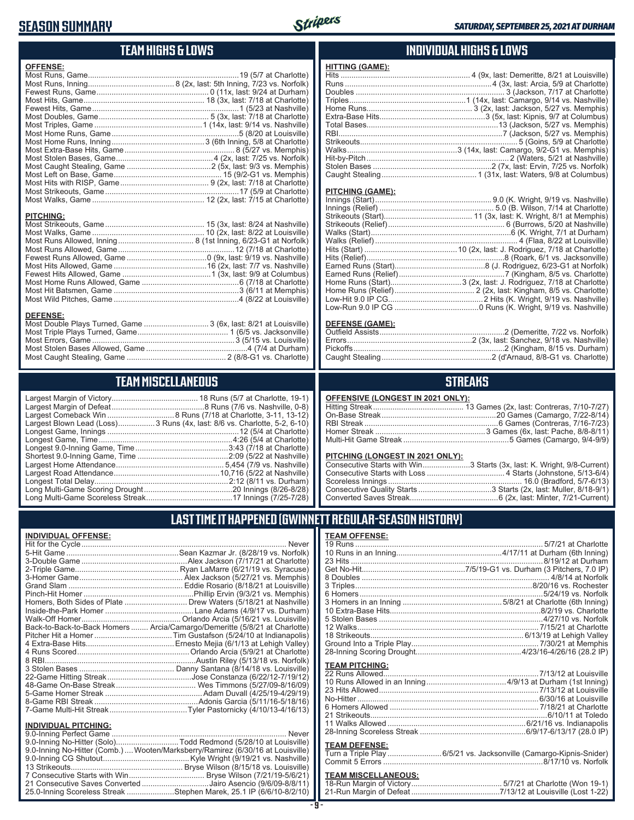### **SEASON SUMMARY**



### **TEAM HIGHS & LOWS**

| <b>OFFENSE:</b>  |                                                                  |
|------------------|------------------------------------------------------------------|
|                  |                                                                  |
|                  |                                                                  |
|                  |                                                                  |
|                  |                                                                  |
|                  |                                                                  |
|                  |                                                                  |
|                  |                                                                  |
|                  |                                                                  |
|                  |                                                                  |
|                  |                                                                  |
| <b>PITCHING:</b> |                                                                  |
|                  |                                                                  |
|                  |                                                                  |
|                  |                                                                  |
|                  |                                                                  |
|                  |                                                                  |
|                  |                                                                  |
|                  |                                                                  |
|                  |                                                                  |
|                  |                                                                  |
| <b>DEFENSE:</b>  |                                                                  |
|                  | Most Double Plays Turned, Game  3 (6x, last: 8/21 at Louisville) |

#### Most Triple Plays Turned, Game .......................................... 1 (6/5 vs. Jacksonville) Most Errors, Game ..................................................................3 (5/15 vs. Louisville) Most Stolen Bases Allowed, Game ...............................................4 (7/4 at Durham) Most Caught Stealing, Game .............................................. 2 (8/8-G1 vs. Charlotte)

### **TEAM MISCELLANEOUS**

| Largest Blown Lead (Loss) 3 Runs (4x, last: 8/6 vs. Charlotte, 5-2, 6-10) |
|---------------------------------------------------------------------------|
|                                                                           |
|                                                                           |
|                                                                           |
|                                                                           |
|                                                                           |
|                                                                           |
|                                                                           |
|                                                                           |
|                                                                           |

### **INDIVIDUAL HIGHS & LOWS**

| <b>HITTING (GAME):</b> |  |
|------------------------|--|
|                        |  |
|                        |  |
|                        |  |
|                        |  |
|                        |  |
|                        |  |
|                        |  |
|                        |  |
|                        |  |
|                        |  |
|                        |  |
|                        |  |
|                        |  |
|                        |  |

#### **PITCHING (GAME):**

#### **DEFENSE (GAME):**

### **STREAKS**

#### **OFFENSIVE (LONGEST IN 2021 ONLY):**

#### **PITCHING (LONGEST IN 2021 ONLY):**

| <u>THEIMS (ESNSES) IN ESTIMATING</u> |                                                                        |
|--------------------------------------|------------------------------------------------------------------------|
|                                      | Consecutive Starts with Win3 Starts (3x, last: K. Wright, 9/8-Current) |
|                                      |                                                                        |
|                                      |                                                                        |
|                                      |                                                                        |
|                                      |                                                                        |
|                                      |                                                                        |

### **LAST TIME IT HAPPENED (GWINNETT REGULAR-SEASON HISTORY)**

#### **INDIVIDUAL OFFENSE:**

|                                                                                                                               | Homers, Both Sides of Plate  Drew Waters (5/18/21 at Nashville)            |
|-------------------------------------------------------------------------------------------------------------------------------|----------------------------------------------------------------------------|
|                                                                                                                               |                                                                            |
|                                                                                                                               |                                                                            |
|                                                                                                                               | Back-to-Back-to-Back Homers  Arcia/Camargo/Demeritte (5/8/21 at Charlotte) |
|                                                                                                                               |                                                                            |
|                                                                                                                               |                                                                            |
|                                                                                                                               |                                                                            |
|                                                                                                                               |                                                                            |
|                                                                                                                               |                                                                            |
|                                                                                                                               |                                                                            |
|                                                                                                                               |                                                                            |
|                                                                                                                               |                                                                            |
|                                                                                                                               |                                                                            |
|                                                                                                                               |                                                                            |
| <b>INDIVIDUAL PITCHING:</b>                                                                                                   |                                                                            |
| $\bigcap_{i=1}^n A_i$ and $\bigcap_{i=1}^n A_i$ and $\bigcap_{i=1}^n A_i$ and $\bigcap_{i=1}^n A_i$ and $\bigcap_{i=1}^n A_i$ | $k + 1 - 1 - 1$                                                            |

| 9.0-Inning No-Hitter (Comb.) Wooten/Marksberry/Ramirez (6/30/16 at Louisville) |  |
|--------------------------------------------------------------------------------|--|
|                                                                                |  |
|                                                                                |  |
|                                                                                |  |
| 21 Consecutive Saves Converted Jairo Asencio (9/6/09-8/8/11)                   |  |
| 25.0-Inning Scoreless Streak Stephen Marek, 25.1 IP (6/6/10-8/2/10)            |  |
|                                                                                |  |

## **TEAM OFFENSE:**

| <b>TEAM PITCHING:</b> |                                                                     |
|-----------------------|---------------------------------------------------------------------|
|                       |                                                                     |
|                       |                                                                     |
|                       |                                                                     |
|                       |                                                                     |
|                       |                                                                     |
|                       |                                                                     |
|                       |                                                                     |
|                       |                                                                     |
|                       |                                                                     |
| <b>TEAM DEFENSE:</b>  |                                                                     |
|                       | Turn a Triple Play  6/5/21 vs. Jacksonville (Camargo-Kipnis-Snider) |
|                       |                                                                     |

### **TEAM MISCELLANEOUS:**<br>18-Run Margin of Victory....